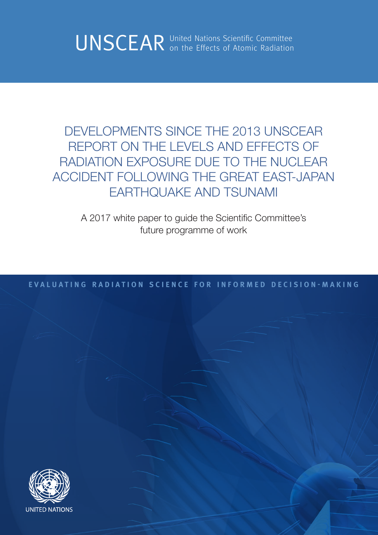UNSCEAR United Nations Scientific Committee Committee

DEVELOPMENTS SINCE THE 2013 UNSCEAR REPORT ON THE LEVELS AND EFFECTS OF RADIATION EXPOSURE DUE TO THE NUCLEAR ACCIDENT FOLLOWING THE GREAT EAST-JAPAN EARTHQUAKE AND TSUNAMI

A 2017 white paper to guide the Scientific Committee's future programme of work

**EVALUATING RADIATION SCIENCE FOR INFORMED DECISION-MAKING**

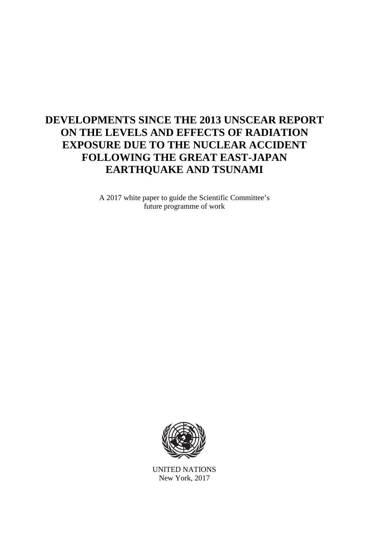# **DEVELOPMENTS SINCE THE 2013 UNSCEAR REPORT ON THE LEVELS AND EFFECTS OF RADIATION EXPOSURE DUE TO THE NUCLEAR ACCIDENT FOLLOWING THE GREAT EAST-JAPAN EARTHQUAKE AND TSUNAMI**

A 2017 white paper to guide the Scientific Committee's future programme of work



UNITED NATIONS New York, 2017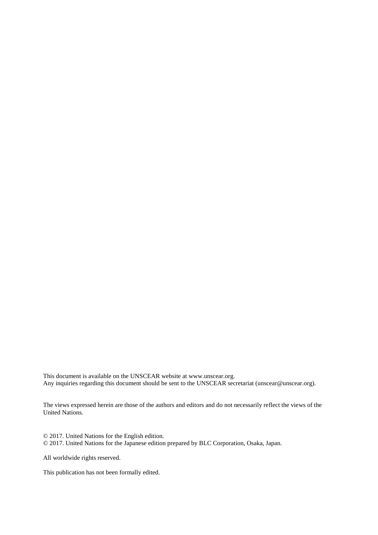This document is available on the UNSCEAR website at www.unscear.org. Any inquiries regarding this document should be sent to the UNSCEAR secretariat (unscear@unscear.org).

The views expressed herein are those of the authors and editors and do not necessarily reflect the views of the United Nations.

© 2017. United Nations for the English edition. © 2017. United Nations for the Japanese edition prepared by BLC Corporation, Osaka, Japan.

All worldwide rights reserved.

This publication has not been formally edited.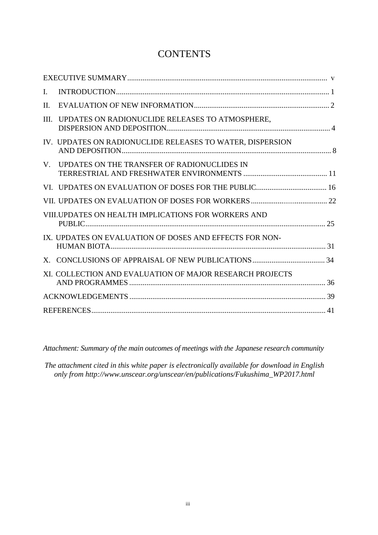# **CONTENTS**

| $\mathbf{I}$ . |                                                           |  |
|----------------|-----------------------------------------------------------|--|
| II.            |                                                           |  |
| III.           | UPDATES ON RADIONUCLIDE RELEASES TO ATMOSPHERE,           |  |
|                | IV. UPDATES ON RADIONUCLIDE RELEASES TO WATER, DISPERSION |  |
| $V_{\cdot}$    | UPDATES ON THE TRANSFER OF RADIONUCLIDES IN               |  |
|                |                                                           |  |
|                |                                                           |  |
|                | VIII. UPDATES ON HEALTH IMPLICATIONS FOR WORKERS AND      |  |
|                | IX. UPDATES ON EVALUATION OF DOSES AND EFFECTS FOR NON-   |  |
|                |                                                           |  |
|                | XI. COLLECTION AND EVALUATION OF MAJOR RESEARCH PROJECTS  |  |
|                |                                                           |  |
|                |                                                           |  |

*Attachment: Summary of the main outcomes of meetings with the Japanese research community*

*The attachment cited in this white paper is electronically available for download in English only from http://www.unscear.org/unscear/en/publications/Fukushima\_WP2017.html*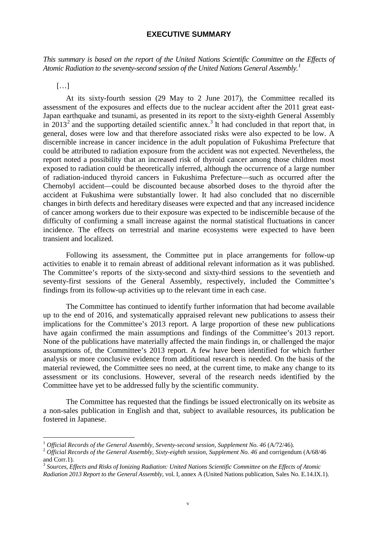### **EXECUTIVE SUMMARY**

<span id="page-6-0"></span>*This summary is based on the report of the United Nations Scientific Committee on the Effects of Atomic Radiation to the seventy-second session of the United Nations General Assembly. [1](#page-8-1)*

[…]

At its sixty-fourth session (29 May to 2 June 2017), the Committee recalled its assessment of the exposures and effects due to the nuclear accident after the 2011 great east-Japan earthquake and tsunami, as presented in its report to the sixty-eighth General Assembly in  $2013<sup>2</sup>$  $2013<sup>2</sup>$  $2013<sup>2</sup>$  $2013<sup>2</sup>$  and the supporting detailed scientific annex.<sup>3</sup> It had concluded in that report that, in general, doses were low and that therefore associated risks were also expected to be low. A discernible increase in cancer incidence in the adult population of Fukushima Prefecture that could be attributed to radiation exposure from the accident was not expected. Nevertheless, the report noted a possibility that an increased risk of thyroid cancer among those children most exposed to radiation could be theoretically inferred, although the occurrence of a large number of radiation-induced thyroid cancers in Fukushima Prefecture—such as occurred after the Chernobyl accident—could be discounted because absorbed doses to the thyroid after the accident at Fukushima were substantially lower. It had also concluded that no discernible changes in birth defects and hereditary diseases were expected and that any increased incidence of cancer among workers due to their exposure was expected to be indiscernible because of the difficulty of confirming a small increase against the normal statistical fluctuations in cancer incidence. The effects on terrestrial and marine ecosystems were expected to have been transient and localized.

Following its assessment, the Committee put in place arrangements for follow-up activities to enable it to remain abreast of additional relevant information as it was published. The Committee's reports of the sixty-second and sixty-third sessions to the seventieth and seventy-first sessions of the General Assembly, respectively, included the Committee's findings from its follow-up activities up to the relevant time in each case.

The Committee has continued to identify further information that had become available up to the end of 2016, and systematically appraised relevant new publications to assess their implications for the Committee's 2013 report. A large proportion of these new publications have again confirmed the main assumptions and findings of the Committee's 2013 report. None of the publications have materially affected the main findings in, or challenged the major assumptions of, the Committee's 2013 report. A few have been identified for which further analysis or more conclusive evidence from additional research is needed. On the basis of the material reviewed, the Committee sees no need, at the current time, to make any change to its assessment or its conclusions. However, several of the research needs identified by the Committee have yet to be addressed fully by the scientific community.

The Committee has requested that the findings be issued electronically on its website as a non-sales publication in English and that, subject to available resources, its publication be fostered in Japanese.

<sup>&</sup>lt;sup>1</sup> *Official Records of the General Assembly, Seventy-second session, Supplement No. 46 (A/72/46).*<br><sup>2</sup> *Official Records of the General Assembly, Sixty-eighth session, Supplement No. 46 and corrigendum (A/68/46* and Corr.1).

<sup>3</sup> *Sources, Effects and Risks of Ionizing Radiation: United Nations Scientific Committee on the Effects of Atomic Radiation 2013 Report to the General Assembly*, vol. I, annex A (United Nations publication, Sales No. E.14.IX.1).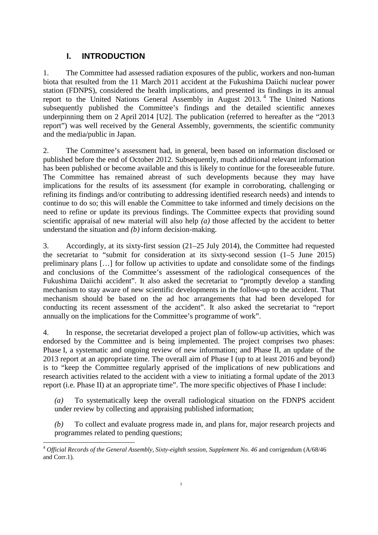# <span id="page-8-0"></span>**I. INTRODUCTION**

1. The Committee had assessed radiation exposures of the public, workers and non-human biota that resulted from the 11 March 2011 accident at the Fukushima Daiichi nuclear power station (FDNPS), considered the health implications, and presented its findings in its annual report to the United Nations General Assembly in August 2013. [4](#page-10-0) The United Nations subsequently published the Committee's findings and the detailed scientific annexes underpinning them on 2 April 2014 [U2]. The publication (referred to hereafter as the "2013 report") was well received by the General Assembly, governments, the scientific community and the media/public in Japan.

2. The Committee's assessment had, in general, been based on information disclosed or published before the end of October 2012. Subsequently, much additional relevant information has been published or become available and this is likely to continue for the foreseeable future. The Committee has remained abreast of such developments because they may have implications for the results of its assessment (for example in corroborating, challenging or refining its findings and/or contributing to addressing identified research needs) and intends to continue to do so; this will enable the Committee to take informed and timely decisions on the need to refine or update its previous findings. The Committee expects that providing sound scientific appraisal of new material will also help *(a)* those affected by the accident to better understand the situation and *(b)* inform decision-making.

3. Accordingly, at its sixty-first session (21–25 July 2014), the Committee had requested the secretariat to "submit for consideration at its sixty-second session (1–5 June 2015) preliminary plans […] for follow up activities to update and consolidate some of the findings and conclusions of the Committee's assessment of the radiological consequences of the Fukushima Daiichi accident". It also asked the secretariat to "promptly develop a standing mechanism to stay aware of new scientific developments in the follow-up to the accident. That mechanism should be based on the ad hoc arrangements that had been developed for conducting its recent assessment of the accident". It also asked the secretariat to "report annually on the implications for the Committee's programme of work".

<span id="page-8-4"></span>4. In response, the secretariat developed a project plan of follow-up activities, which was endorsed by the Committee and is being implemented. The project comprises two phases: Phase I, a systematic and ongoing review of new information; and Phase II, an update of the 2013 report at an appropriate time. The overall aim of Phase I (up to at least 2016 and beyond) is to "keep the Committee regularly apprised of the implications of new publications and research activities related to the accident with a view to initiating a formal update of the 2013 report (i.e. Phase II) at an appropriate time". The more specific objectives of Phase I include:

*(a)* To systematically keep the overall radiological situation on the FDNPS accident under review by collecting and appraising published information;

*(b)* To collect and evaluate progress made in, and plans for, major research projects and programmes related to pending questions;

<span id="page-8-3"></span><span id="page-8-2"></span><span id="page-8-1"></span><sup>&</sup>lt;sup>4</sup> Official Records of the General Assembly, Sixty-eighth session, Supplement No. 46 and corrigendum (A/68/46 and Corr.1)*.*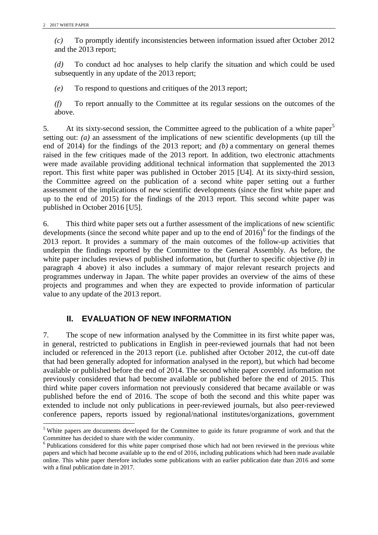*(c)* To promptly identify inconsistencies between information issued after October 2012 and the 2013 report;

*(d)* To conduct ad hoc analyses to help clarify the situation and which could be used subsequently in any update of the 2013 report;

*(e)* To respond to questions and critiques of the 2013 report;

*(f)* To report annually to the Committee at its regular sessions on the outcomes of the above.

[5](#page-11-1). At its sixty-second session, the Committee agreed to the publication of a white paper<sup>5</sup> setting out: *(a)* an assessment of the implications of new scientific developments (up till the end of 2014) for the findings of the 2013 report; and *(b)* a commentary on general themes raised in the few critiques made of the 2013 report. In addition, two electronic attachments were made available providing additional technical information that supplemented the 2013 report. This first white paper was published in October 2015 [U4]. At its sixty-third session, the Committee agreed on the publication of a second white paper setting out a further assessment of the implications of new scientific developments (since the first white paper and up to the end of 2015) for the findings of the 2013 report. This second white paper was published in October 2016 [U5].

6. This third white paper sets out a further assessment of the implications of new scientific developments (since the second white paper and up to the end of  $2016$  $2016$ <sup>6</sup> for the findings of the 2013 report. It provides a summary of the main outcomes of the follow-up activities that underpin the findings reported by the Committee to the General Assembly. As before, the white paper includes reviews of published information, but (further to specific objective *(b)* in paragraph 4 above) it also includes a summary of major relevant research projects and programmes underway in Japan. The white paper provides an overview of the aims of these projects and programmes and when they are expected to provide information of particular value to any update of the 2013 report.

# <span id="page-9-0"></span>**II. EVALUATION OF NEW INFORMATION**

7. The scope of new information analysed by the Committee in its first white paper was, in general, restricted to publications in English in peer-reviewed journals that had not been included or referenced in the 2013 report (i.e. published after October 2012, the cut-off date that had been generally adopted for information analysed in the report), but which had become available or published before the end of 2014. The second white paper covered information not previously considered that had become available or published before the end of 2015. This third white paper covers information not previously considered that became available or was published before the end of 2016. The scope of both the second and this white paper was extended to include not only publications in peer-reviewed journals, but also peer-reviewed conference papers, reports issued by regional/national institutes/organizations, government

<sup>&</sup>lt;sup>5</sup> White papers are documents developed for the Committee to guide its future programme of work and that the Committee has decided to share with the wider community.

<sup>&</sup>lt;sup>6</sup> Publications considered for this white paper comprised those which had not been reviewed in the previous white papers and which had become available up to the end of 2016, including publications which had been made available online. This white paper therefore includes some publications with an earlier publication date than 2016 and some with a final publication date in 2017.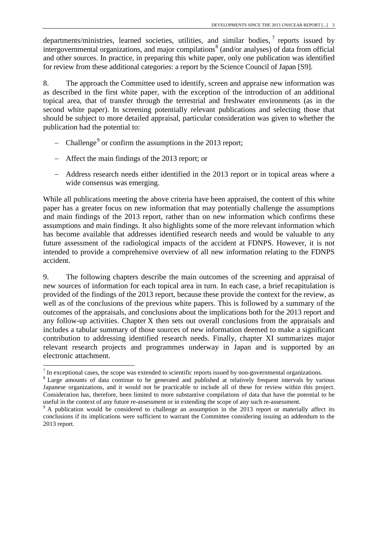departments/ministries, learned societies, utilities, and similar bodies,  $\frac{1}{\sqrt{2}}$  reports issued by intergovernmental organizations, and major compilations<sup>[8](#page-12-1)</sup> (and/or analyses) of data from official and other sources. In practice, in preparing this white paper, only one publication was identified for review from these additional categories: a report by the Science Council of Japan [S9].

8. The approach the Committee used to identify, screen and appraise new information was as described in the first white paper, with the exception of the introduction of an additional topical area, that of transfer through the terrestrial and freshwater environments (as in the second white paper). In screening potentially relevant publications and selecting those that should be subject to more detailed appraisal, particular consideration was given to whether the publication had the potential to:

- − Challenge<sup>[9](#page-12-2)</sup> or confirm the assumptions in the 2013 report;
- − Affect the main findings of the 2013 report; or
- − Address research needs either identified in the 2013 report or in topical areas where a wide consensus was emerging.

While all publications meeting the above criteria have been appraised, the content of this white paper has a greater focus on new information that may potentially challenge the assumptions and main findings of the 2013 report, rather than on new information which confirms these assumptions and main findings. It also highlights some of the more relevant information which has become available that addresses identified research needs and would be valuable to any future assessment of the radiological impacts of the accident at FDNPS. However, it is not intended to provide a comprehensive overview of all new information relating to the FDNPS accident.

9. The following chapters describe the main outcomes of the screening and appraisal of new sources of information for each topical area in turn. In each case, a brief recapitulation is provided of the findings of the 2013 report, because these provide the context for the review, as well as of the conclusions of the previous white papers. This is followed by a summary of the outcomes of the appraisals, and conclusions about the implications both for the 2013 report and any follow-up activities. Chapter X then sets out overall conclusions from the appraisals and includes a tabular summary of those sources of new information deemed to make a significant contribution to addressing identified research needs. Finally, chapter XI summarizes major relevant research projects and programmes underway in Japan and is supported by an electronic attachment.

 $\frac{7}{1}$  In exceptional cases, the scope was extended to scientific reports issued by non-governmental organizations.

 $8$  Large amounts of data continue to be generated and published at relatively frequent intervals by various. Japanese organizations, and it would not be practicable to include all of these for review within this project. Consideration has, therefore, been limited to more substantive compilations of data that have the potential to be useful in the context of any future re-assessment or in extending the scope of any such re-assessment.

<span id="page-10-0"></span> $9$  A publication would be considered to challenge an assumption in the 2013 report or materially affect its conclusions if its implications were sufficient to warrant the Committee considering issuing an addendum to the 2013 report.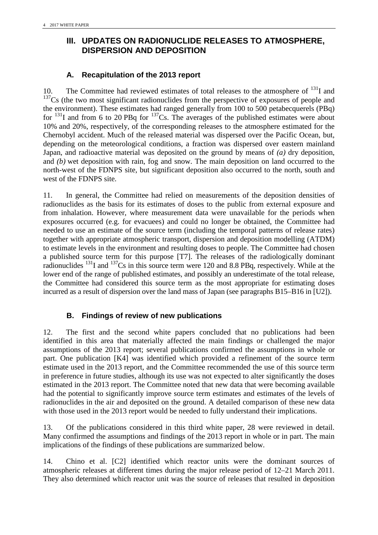# <span id="page-11-0"></span>**III. UPDATES ON RADIONUCLIDE RELEASES TO ATMOSPHERE, DISPERSION AND DEPOSITION**

# **A. Recapitulation of the 2013 report**

10. The Committee had reviewed estimates of total releases to the atmosphere of  $131$  and  $137<sub>0</sub>$  (the two most significant radionuclides from the perspective of exposures of people and the environment). These estimates had ranged generally from 100 to 500 petabecquerels (PBq) for  $^{131}$ I and from 6 to 20 PBq for  $^{137}$ Cs. The averages of the published estimates were about 10% and 20%, respectively, of the corresponding releases to the atmosphere estimated for the Chernobyl accident. Much of the released material was dispersed over the Pacific Ocean, but, depending on the meteorological conditions, a fraction was dispersed over eastern mainland Japan, and radioactive material was deposited on the ground by means of *(a)* dry deposition, and *(b)* wet deposition with rain, fog and snow. The main deposition on land occurred to the north-west of the FDNPS site, but significant deposition also occurred to the north, south and west of the FDNPS site.

11. In general, the Committee had relied on measurements of the deposition densities of radionuclides as the basis for its estimates of doses to the public from external exposure and from inhalation. However, where measurement data were unavailable for the periods when exposures occurred (e.g. for evacuees) and could no longer be obtained, the Committee had needed to use an estimate of the source term (including the temporal patterns of release rates) together with appropriate atmospheric transport, dispersion and deposition modelling (ATDM) to estimate levels in the environment and resulting doses to people. The Committee had chosen a published source term for this purpose [T7]. The releases of the radiologically dominant radionuclides  $^{131}$ I and  $^{137}$ Cs in this source term were 120 and 8.8 PBq, respectively. While at the lower end of the range of published estimates, and possibly an underestimate of the total release, the Committee had considered this source term as the most appropriate for estimating doses incurred as a result of dispersion over the land mass of Japan (see paragraphs B15–B16 in [U2]).

# **B. Findings of review of new publications**

12. The first and the second white papers concluded that no publications had been identified in this area that materially affected the main findings or challenged the major assumptions of the 2013 report; several publications confirmed the assumptions in whole or part. One publication [K4] was identified which provided a refinement of the source term estimate used in the 2013 report, and the Committee recommended the use of this source term in preference in future studies, although its use was not expected to alter significantly the doses estimated in the 2013 report. The Committee noted that new data that were becoming available had the potential to significantly improve source term estimates and estimates of the levels of radionuclides in the air and deposited on the ground. A detailed comparison of these new data with those used in the 2013 report would be needed to fully understand their implications.

<span id="page-11-1"></span>13. Of the publications considered in this third white paper, 28 were reviewed in detail. Many confirmed the assumptions and findings of the 2013 report in whole or in part. The main implications of the findings of these publications are summarized below.

<span id="page-11-2"></span>14. Chino et al. [C2] identified which reactor units were the dominant sources of atmospheric releases at different times during the major release period of 12–21 March 2011. They also determined which reactor unit was the source of releases that resulted in deposition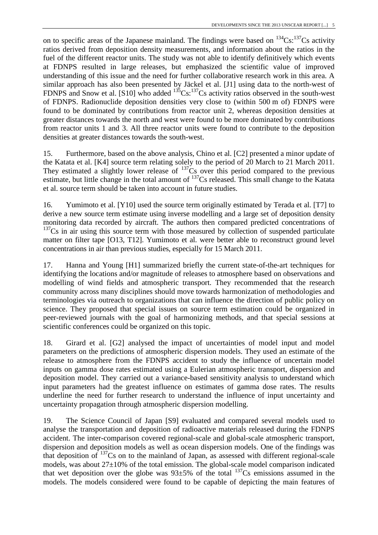on to specific areas of the Japanese mainland. The findings were based on  $^{134}Cs$ :  $^{137}Cs$  activity ratios derived from deposition density measurements, and information about the ratios in the fuel of the different reactor units. The study was not able to identify definitively which events at FDNPS resulted in large releases, but emphasized the scientific value of improved understanding of this issue and the need for further collaborative research work in this area. A similar approach has also been presented by Jäckel et al. [J1] using data to the north-west of FDNPS and Snow et al. [S10] who added  $^{135}Cs$ :  $^{137}Cs$  activity ratios observed in the south-west of FDNPS. Radionuclide deposition densities very close to (within 500 m of) FDNPS were found to be dominated by contributions from reactor unit 2, whereas deposition densities at greater distances towards the north and west were found to be more dominated by contributions from reactor units 1 and 3. All three reactor units were found to contribute to the deposition densities at greater distances towards the south-west.

15. Furthermore, based on the above analysis, Chino et al. [C2] presented a minor update of the Katata et al. [K4] source term relating solely to the period of 20 March to 21 March 2011. They estimated a slightly lower release of  $137Cs$  over this period compared to the previous estimate, but little change in the total amount of <sup>137</sup>Cs released. This small change to the Katata et al. source term should be taken into account in future studies.

16. Yumimoto et al. [Y10] used the source term originally estimated by Terada et al. [T7] to derive a new source term estimate using inverse modelling and a large set of deposition density monitoring data recorded by aircraft. The authors then compared predicted concentrations of  $137Cs$  in air using this source term with those measured by collection of suspended particulate matter on filter tape [O13, T12]. Yumimoto et al. were better able to reconstruct ground level concentrations in air than previous studies, especially for 15 March 2011.

17. Hanna and Young [H1] summarized briefly the current state-of-the-art techniques for identifying the locations and/or magnitude of releases to atmosphere based on observations and modelling of wind fields and atmospheric transport. They recommended that the research community across many disciplines should move towards harmonization of methodologies and terminologies via outreach to organizations that can influence the direction of public policy on science. They proposed that special issues on source term estimation could be organized in peer-reviewed journals with the goal of harmonizing methods, and that special sessions at scientific conferences could be organized on this topic.

<span id="page-12-1"></span><span id="page-12-0"></span>18. Girard et al. [G2] analysed the impact of uncertainties of model input and model parameters on the predictions of atmospheric dispersion models. They used an estimate of the release to atmosphere from the FDNPS accident to study the influence of uncertain model inputs on gamma dose rates estimated using a Eulerian atmospheric transport, dispersion and deposition model. They carried out a variance-based sensitivity analysis to understand which input parameters had the greatest influence on estimates of gamma dose rates. The results underline the need for further research to understand the influence of input uncertainty and uncertainty propagation through atmospheric dispersion modelling.

<span id="page-12-2"></span>19. The Science Council of Japan [S9] evaluated and compared several models used to analyse the transportation and deposition of radioactive materials released during the FDNPS accident. The inter-comparison covered regional-scale and global-scale atmospheric transport, dispersion and deposition models as well as ocean dispersion models. One of the findings was that deposition of  $^{137}Cs$  on to the mainland of Japan, as assessed with different regional-scale models, was about  $27\pm10\%$  of the total emission. The global-scale model comparison indicated that wet deposition over the globe was  $93\pm5\%$  of the total  $137$ Cs emissions assumed in the models. The models considered were found to be capable of depicting the main features of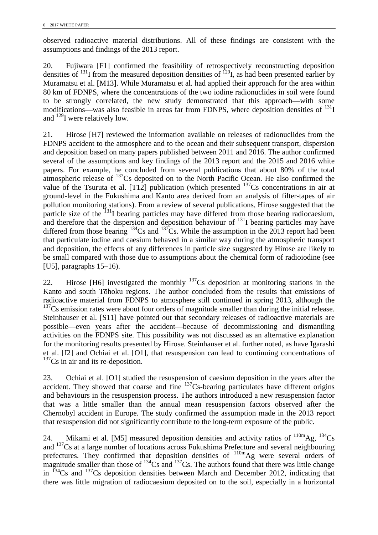observed radioactive material distributions. All of these findings are consistent with the assumptions and findings of the 2013 report.

20. Fujiwara [F1] confirmed the feasibility of retrospectively reconstructing deposition densities of <sup>131</sup>I from the measured deposition densities of <sup>129</sup>I, as had been presented earlier by Muramatsu et al. [M13]. While Muramatsu et al. had applied their approach for the area within 80 km of FDNPS, where the concentrations of the two iodine radionuclides in soil were found to be strongly correlated, the new study demonstrated that this approach—with some modifications—was also feasible in areas far from FDNPS, where deposition densities of  $^{131}I$ and 129I were relatively low.

21. Hirose [H7] reviewed the information available on releases of radionuclides from the FDNPS accident to the atmosphere and to the ocean and their subsequent transport, dispersion and deposition based on many papers published between 2011 and 2016. The author confirmed several of the assumptions and key findings of the 2013 report and the 2015 and 2016 white papers. For example, he concluded from several publications that about 80% of the total atmospheric release of  $137$ Cs deposited on to the North Pacific Ocean. He also confirmed the value of the Tsuruta et al. [T12] publication (which presented  $137Cs$  concentrations in air at ground-level in the Fukushima and Kanto area derived from an analysis of filter-tapes of air pollution monitoring stations). From a review of several publications, Hirose suggested that the particle size of the <sup>131</sup>I bearing particles may have differed from those bearing radiocaesium, and therefore that the dispersion and deposition behaviour of  $^{131}$ I bearing particles may have differed from those bearing  $134$ Cs and  $137$ Cs. While the assumption in the 2013 report had been that particulate iodine and caesium behaved in a similar way during the atmospheric transport and deposition, the effects of any differences in particle size suggested by Hirose are likely to be small compared with those due to assumptions about the chemical form of radioiodine (see [U5], paragraphs 15–16).

22. Hirose [H6] investigated the monthly  $^{137}Cs$  deposition at monitoring stations in the Kanto and south Tōhoku regions. The author concluded from the results that emissions of radioactive material from FDNPS to atmosphere still continued in spring 2013, although the  $137Cs$  emission rates were about four orders of magnitude smaller than during the initial release. Steinhauser et al. [S11] have pointed out that secondary releases of radioactive materials are possible—even years after the accident—because of decommissioning and dismantling activities on the FDNPS site. This possibility was not discussed as an alternative explanation for the monitoring results presented by Hirose. Steinhauser et al. further noted, as have Igarashi et al. [I2] and Ochiai et al. [O1], that resuspension can lead to continuing concentrations of  $137Cs$  in air and its re-deposition.

23. Ochiai et al. [O1] studied the resuspension of caesium deposition in the years after the accident. They showed that coarse and fine  $137$ Cs-bearing particulates have different origins and behaviours in the resuspension process. The authors introduced a new resuspension factor that was a little smaller than the annual mean resuspension factors observed after the Chernobyl accident in Europe. The study confirmed the assumption made in the 2013 report that resuspension did not significantly contribute to the long-term exposure of the public.

24. Mikami et al. [M5] measured deposition densities and activity ratios of  $^{110m}$ Ag,  $^{134}$ Cs and <sup>137</sup>Cs at a large number of locations across Fukushima Prefecture and several neighbouring prefectures. They confirmed that deposition densities of  $^{110m}$ Ag were several orders of magnitude smaller than those of  $^{134}Cs$  and  $^{137}Cs$ . The authors found that there was little change in  $^{134}Cs$  and  $^{137}Cs$  deposition densities between March and December 2012, indicating that there was little migration of radiocaesium deposited on to the soil, especially in a horizontal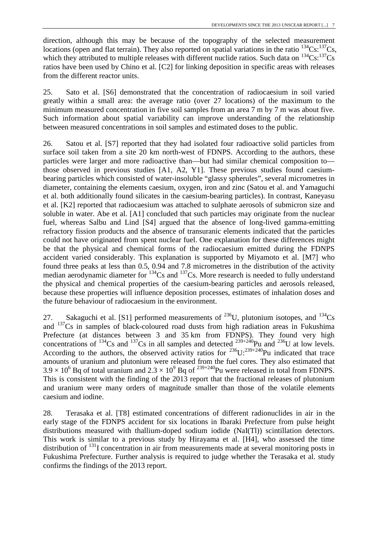direction, although this may be because of the topography of the selected measurement locations (open and flat terrain). They also reported on spatial variations in the ratio  $^{134}Cs$ :  $^{137}Cs$ , which they attributed to multiple releases with different nuclide ratios. Such data on  $^{134}Cs$ :  $^{137}Cs$ ratios have been used by Chino et al. [C2] for linking deposition in specific areas with releases from the different reactor units.

25. Sato et al. [S6] demonstrated that the concentration of radiocaesium in soil varied greatly within a small area: the average ratio (over 27 locations) of the maximum to the minimum measured concentration in five soil samples from an area 7 m by 7 m was about five. Such information about spatial variability can improve understanding of the relationship between measured concentrations in soil samples and estimated doses to the public.

26. Satou et al. [S7] reported that they had isolated four radioactive solid particles from surface soil taken from a site 20 km north-west of FDNPS. According to the authors, these particles were larger and more radioactive than—but had similar chemical composition to those observed in previous studies [A1, A2, Y1]. These previous studies found caesiumbearing particles which consisted of water-insoluble "glassy spherules", several micrometres in diameter, containing the elements caesium, oxygen, iron and zinc (Satou et al. and Yamaguchi et al. both additionally found silicates in the caesium-bearing particles). In contrast, Kaneyasu et al. [K2] reported that radiocaesium was attached to sulphate aerosols of submicron size and soluble in water. Abe et al. [A1] concluded that such particles may originate from the nuclear fuel, whereas Salbu and Lind [S4] argued that the absence of long-lived gamma-emitting refractory fission products and the absence of transuranic elements indicated that the particles could not have originated from spent nuclear fuel. One explanation for these differences might be that the physical and chemical forms of the radiocaesium emitted during the FDNPS accident varied considerably. This explanation is supported by Miyamoto et al. [M7] who found three peaks at less than 0.5, 0.94 and 7.8 micrometres in the distribution of the activity median aerodynamic diameter for  $^{134}$ Cs and  $^{137}$ Cs. More research is needed to fully understand the physical and chemical properties of the caesium-bearing particles and aerosols released, because these properties will influence deposition processes, estimates of inhalation doses and the future behaviour of radiocaesium in the environment.

27. Sakaguchi et al. [S1] performed measurements of <sup>236</sup>U, plutonium isotopes, and <sup>134</sup>Cs and  $137Cs$  in samples of black-coloured road dusts from high radiation areas in Fukushima Prefecture (at distances between 3 and 35 km from FDNPS). They found very high concentrations of <sup>134</sup>Cs and <sup>137</sup>Cs in all samples and detected <sup>239+240</sup>Pu and <sup>236</sup>U at low levels. According to the authors, the observed activity ratios for  $236$ U: $239+240$ Pu indicated that trace amounts of uranium and plutonium were released from the fuel cores. They also estimated that  $3.9 \times 10^6$  Bq of total uranium and  $2.3 \times 10^9$  Bq of  $^{239+240}$ Pu were released in total from FDNPS. This is consistent with the finding of the 2013 report that the fractional releases of plutonium and uranium were many orders of magnitude smaller than those of the volatile elements caesium and iodine.

28. Terasaka et al. [T8] estimated concentrations of different radionuclides in air in the early stage of the FDNPS accident for six locations in Ibaraki Prefecture from pulse height distributions measured with thallium-doped sodium iodide (NaI(Tl)) scintillation detectors. This work is similar to a previous study by Hirayama et al. [H4], who assessed the time distribution of  $131$  concentration in air from measurements made at several monitoring posts in Fukushima Prefecture. Further analysis is required to judge whether the Terasaka et al. study confirms the findings of the 2013 report.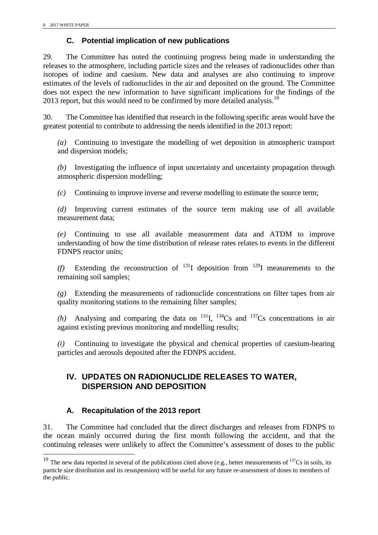# **C. Potential implication of new publications**

29. The Committee has noted the continuing progress being made in understanding the releases to the atmosphere, including particle sizes and the releases of radionuclides other than isotopes of iodine and caesium. New data and analyses are also continuing to improve estimates of the levels of radionuclides in the air and deposited on the ground. The Committee does not expect the new information to have significant implications for the findings of the 2013 report, but this would need to be confirmed by more detailed analysis.<sup>[10](#page-17-0)</sup>

30. The Committee has identified that research in the following specific areas would have the greatest potential to contribute to addressing the needs identified in the 2013 report:

*(a)* Continuing to investigate the modelling of wet deposition in atmospheric transport and dispersion models;

*(b)* Investigating the influence of input uncertainty and uncertainty propagation through atmospheric dispersion modelling;

*(c)* Continuing to improve inverse and reverse modelling to estimate the source term;

*(d)* Improving current estimates of the source term making use of all available measurement data;

*(e)* Continuing to use all available measurement data and ATDM to improve understanding of how the time distribution of release rates relates to events in the different FDNPS reactor units;

*(f)* Extending the reconstruction of  $^{131}I$  deposition from  $^{129}I$  measurements to the remaining soil samples;

*(g)* Extending the measurements of radionuclide concentrations on filter tapes from air quality monitoring stations to the remaining filter samples;

*(h)* Analysing and comparing the data on <sup>131</sup><sub>I</sub>, <sup>134</sup><sub>Cs</sub> and <sup>137</sup><sub>Cs</sub> concentrations in air against existing previous monitoring and modelling results;

<span id="page-15-0"></span>*(i)* Continuing to investigate the physical and chemical properties of caesium-bearing particles and aerosols deposited after the FDNPS accident.

# **IV. UPDATES ON RADIONUCLIDE RELEASES TO WATER, DISPERSION AND DEPOSITION**

# **A. Recapitulation of the 2013 report**

 $\overline{a}$ 

31. The Committee had concluded that the direct discharges and releases from FDNPS to the ocean mainly occurred during the first month following the accident, and that the continuing releases were unlikely to affect the Committee's assessment of doses to the public

<sup>&</sup>lt;sup>10</sup> The new data reported in several of the publications cited above (e.g., better measurements of  $137Cs$  in soils, its particle size distribution and its resuspension) will be useful for any future re-assessment of doses to members of the public.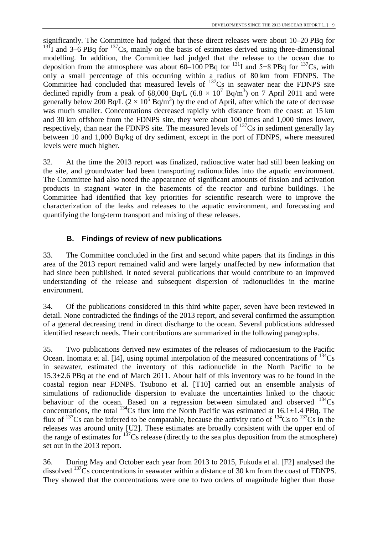significantly. The Committee had judged that these direct releases were about 10–20 PBq for  $131$ I and 3–6 PBq for  $137$ Cs, mainly on the basis of estimates derived using three-dimensional modelling. In addition, the Committee had judged that the release to the ocean due to deposition from the atmosphere was about 60–100 PBq for <sup>131</sup>I and 5–8 PBq for <sup>137</sup>Cs, with only a small percentage of this occurring within a radius of 80 km from FDNPS. The Committee had concluded that measured levels of  $137$ Cs in seawater near the FDNPS site declined rapidly from a peak of 68,000 Bq/L (6.8  $\times$  10<sup>7</sup> Bq/m<sup>3</sup>) on 7 April 2011 and were generally below 200 Bq/L ( $2 \times 10^5$  Bq/m<sup>3</sup>) by the end of April, after which the rate of decrease was much smaller. Concentrations decreased rapidly with distance from the coast: at 15 km and 30 km offshore from the FDNPS site, they were about 100 times and 1,000 times lower, respectively, than near the FDNPS site. The measured levels of  $137Cs$  in sediment generally lay between 10 and 1,000 Bq/kg of dry sediment, except in the port of FDNPS, where measured levels were much higher.

32. At the time the 2013 report was finalized, radioactive water had still been leaking on the site, and groundwater had been transporting radionuclides into the aquatic environment. The Committee had also noted the appearance of significant amounts of fission and activation products in stagnant water in the basements of the reactor and turbine buildings. The Committee had identified that key priorities for scientific research were to improve the characterization of the leaks and releases to the aquatic environment, and forecasting and quantifying the long-term transport and mixing of these releases.

# **B. Findings of review of new publications**

33. The Committee concluded in the first and second white papers that its findings in this area of the 2013 report remained valid and were largely unaffected by new information that had since been published. It noted several publications that would contribute to an improved understanding of the release and subsequent dispersion of radionuclides in the marine environment.

34. Of the publications considered in this third white paper, seven have been reviewed in detail. None contradicted the findings of the 2013 report, and several confirmed the assumption of a general decreasing trend in direct discharge to the ocean. Several publications addressed identified research needs. Their contributions are summarized in the following paragraphs.

35. Two publications derived new estimates of the releases of radiocaesium to the Pacific Ocean. Inomata et al. [I4], using optimal interpolation of the measured concentrations of  $^{134}Cs$ in seawater, estimated the inventory of this radionuclide in the North Pacific to be 15.3±2.6 PBq at the end of March 2011. About half of this inventory was to be found in the coastal region near FDNPS. Tsubono et al. [T10] carried out an ensemble analysis of simulations of radionuclide dispersion to evaluate the uncertainties linked to the chaotic behaviour of the ocean. Based on a regression between simulated and observed  $^{134}Cs$ concentrations, the total <sup>134</sup>Cs flux into the North Pacific was estimated at  $16.1 \pm 1.4$  PBq. The flux of  $^{137}Cs$  can be inferred to be comparable, because the activity ratio of  $^{134}Cs$  to  $^{137}Cs$  in the releases was around unity [U2]. These estimates are broadly consistent with the upper end of the range of estimates for 137Cs release (directly to the sea plus deposition from the atmosphere) set out in the 2013 report.

36. During May and October each year from 2013 to 2015, Fukuda et al. [F2] analysed the dissolved <sup>137</sup>Cs concentrations in seawater within a distance of 30 km from the coast of FDNPS. They showed that the concentrations were one to two orders of magnitude higher than those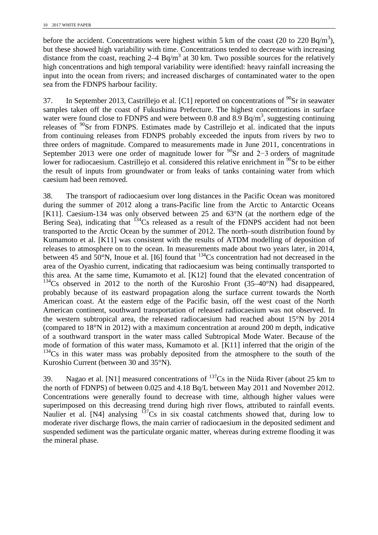before the accident. Concentrations were highest within 5 km of the coast (20 to 220 Bq/m<sup>3</sup>), but these showed high variability with time. Concentrations tended to decrease with increasing distance from the coast, reaching  $2-4$  Bq/m<sup>3</sup> at 30 km. Two possible sources for the relatively high concentrations and high temporal variability were identified: heavy rainfall increasing the input into the ocean from rivers; and increased discharges of contaminated water to the open sea from the FDNPS harbour facility.

37. In September 2013, Castrillejo et al. [C1] reported on concentrations of  $^{90}$ Sr in seawater samples taken off the coast of Fukushima Prefecture. The highest concentrations in surface water were found close to FDNPS and were between 0.8 and 8.9  $Bq/m<sup>3</sup>$ , suggesting continuing releases of  $90$ Sr from FDNPS. Estimates made by Castrillejo et al. indicated that the inputs from continuing releases from FDNPS probably exceeded the inputs from rivers by two to three orders of magnitude. Compared to measurements made in June 2011, concentrations in September 2013 were one order of magnitude lower for  $^{90}$ Sr and 2−3 orders of magnitude lower for radiocaesium. Castrillejo et al. considered this relative enrichment in <sup>90</sup>Sr to be either the result of inputs from groundwater or from leaks of tanks containing water from which caesium had been removed.

38. The transport of radiocaesium over long distances in the Pacific Ocean was monitored during the summer of 2012 along a trans-Pacific line from the Arctic to Antarctic Oceans [K11]. Caesium-134 was only observed between 25 and 63°N (at the northern edge of the Bering Sea), indicating that  $^{134}Cs$  released as a result of the FDNPS accident had not been transported to the Arctic Ocean by the summer of 2012. The north–south distribution found by Kumamoto et al. [K11] was consistent with the results of ATDM modelling of deposition of releases to atmosphere on to the ocean. In measurements made about two years later, in 2014, between 45 and  $50^{\circ}$ N, Inoue et al. [I6] found that  $^{134}$ Cs concentration had not decreased in the area of the Oyashio current, indicating that radiocaesium was being continually transported to this area. At the same time, Kumamoto et al. [K12] found that the elevated concentration of  $134$ Cs observed in 2012 to the north of the Kuroshio Front (35–40°N) had disappeared, probably because of its eastward propagation along the surface current towards the North American coast. At the eastern edge of the Pacific basin, off the west coast of the North American continent, southward transportation of released radiocaesium was not observed. In the western subtropical area, the released radiocaesium had reached about 15°N by 2014 (compared to 18°N in 2012) with a maximum concentration at around 200 m depth, indicative of a southward transport in the water mass called Subtropical Mode Water. Because of the mode of formation of this water mass, Kumamoto et al. [K11] inferred that the origin of the <sup>134</sup>Cs in this water mass was probably deposited from the atmosphere to the south of the Kuroshio Current (between 30 and 35°N).

<span id="page-17-0"></span>39. Nagao et al. [N1] measured concentrations of  $^{137}Cs$  in the Niida River (about 25 km to the north of FDNPS) of between 0.025 and 4.18 Bq/L between May 2011 and November 2012. Concentrations were generally found to decrease with time, although higher values were superimposed on this decreasing trend during high river flows, attributed to rainfall events. Naulier et al. [N4] analysing  $137Cs$  in six coastal catchments showed that, during low to moderate river discharge flows, the main carrier of radiocaesium in the deposited sediment and suspended sediment was the particulate organic matter, whereas during extreme flooding it was the mineral phase.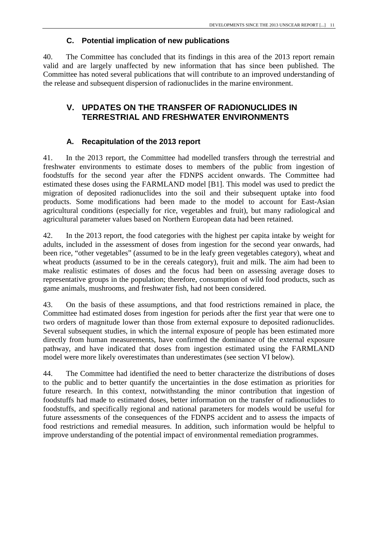# **C. Potential implication of new publications**

40. The Committee has concluded that its findings in this area of the 2013 report remain valid and are largely unaffected by new information that has since been published. The Committee has noted several publications that will contribute to an improved understanding of the release and subsequent dispersion of radionuclides in the marine environment.

# <span id="page-18-0"></span>**V. UPDATES ON THE TRANSFER OF RADIONUCLIDES IN TERRESTRIAL AND FRESHWATER ENVIRONMENTS**

# **A. Recapitulation of the 2013 report**

41. In the 2013 report, the Committee had modelled transfers through the terrestrial and freshwater environments to estimate doses to members of the public from ingestion of foodstuffs for the second year after the FDNPS accident onwards. The Committee had estimated these doses using the FARMLAND model [B1]. This model was used to predict the migration of deposited radionuclides into the soil and their subsequent uptake into food products. Some modifications had been made to the model to account for East-Asian agricultural conditions (especially for rice, vegetables and fruit), but many radiological and agricultural parameter values based on Northern European data had been retained.

42. In the 2013 report, the food categories with the highest per capita intake by weight for adults, included in the assessment of doses from ingestion for the second year onwards, had been rice, "other vegetables" (assumed to be in the leafy green vegetables category), wheat and wheat products (assumed to be in the cereals category), fruit and milk. The aim had been to make realistic estimates of doses and the focus had been on assessing average doses to representative groups in the population; therefore, consumption of wild food products, such as game animals, mushrooms, and freshwater fish, had not been considered.

43. On the basis of these assumptions, and that food restrictions remained in place, the Committee had estimated doses from ingestion for periods after the first year that were one to two orders of magnitude lower than those from external exposure to deposited radionuclides. Several subsequent studies, in which the internal exposure of people has been estimated more directly from human measurements, have confirmed the dominance of the external exposure pathway, and have indicated that doses from ingestion estimated using the FARMLAND model were more likely overestimates than underestimates (see section VI below).

44. The Committee had identified the need to better characterize the distributions of doses to the public and to better quantify the uncertainties in the dose estimation as priorities for future research. In this context, notwithstanding the minor contribution that ingestion of foodstuffs had made to estimated doses, better information on the transfer of radionuclides to foodstuffs, and specifically regional and national parameters for models would be useful for future assessments of the consequences of the FDNPS accident and to assess the impacts of food restrictions and remedial measures. In addition, such information would be helpful to improve understanding of the potential impact of environmental remediation programmes.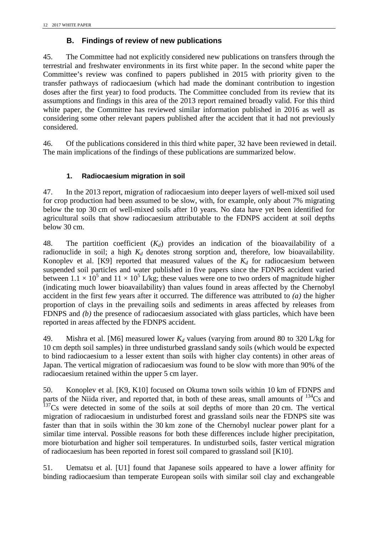# **B. Findings of review of new publications**

45. The Committee had not explicitly considered new publications on transfers through the terrestrial and freshwater environments in its first white paper. In the second white paper the Committee's review was confined to papers published in 2015 with priority given to the transfer pathways of radiocaesium (which had made the dominant contribution to ingestion doses after the first year) to food products. The Committee concluded from its review that its assumptions and findings in this area of the 2013 report remained broadly valid. For this third white paper, the Committee has reviewed similar information published in 2016 as well as considering some other relevant papers published after the accident that it had not previously considered.

46. Of the publications considered in this third white paper, 32 have been reviewed in detail. The main implications of the findings of these publications are summarized below.

# **1. Radiocaesium migration in soil**

47. In the 2013 report, migration of radiocaesium into deeper layers of well-mixed soil used for crop production had been assumed to be slow, with, for example, only about 7% migrating below the top 30 cm of well-mixed soils after 10 years. No data have yet been identified for agricultural soils that show radiocaesium attributable to the FDNPS accident at soil depths below 30 cm.

48. The partition coefficient  $(K_d)$  provides an indication of the bioavailability of a radionuclide in soil; a high  $K_d$  denotes strong sorption and, therefore, low bioavailability. Konoplev et al. [K9] reported that measured values of the  $K_d$  for radiocaesium between suspended soil particles and water published in five papers since the FDNPS accident varied between  $1.1 \times 10^5$  and  $11 \times 10^5$  L/kg; these values were one to two orders of magnitude higher (indicating much lower bioavailability) than values found in areas affected by the Chernobyl accident in the first few years after it occurred. The difference was attributed to *(a)* the higher proportion of clays in the prevailing soils and sediments in areas affected by releases from FDNPS and *(b)* the presence of radiocaesium associated with glass particles, which have been reported in areas affected by the FDNPS accident.

49. Mishra et al. [M6] measured lower  $K_d$  values (varying from around 80 to 320 L/kg for 10 cm depth soil samples) in three undisturbed grassland sandy soils (which would be expected to bind radiocaesium to a lesser extent than soils with higher clay contents) in other areas of Japan. The vertical migration of radiocaesium was found to be slow with more than 90% of the radiocaesium retained within the upper 5 cm layer.

50. Konoplev et al. [K9, K10] focused on Okuma town soils within 10 km of FDNPS and parts of the Niida river, and reported that, in both of these areas, small amounts of  $^{134}Cs$  and  $137<sub>Cs</sub>$  were detected in some of the soils at soil depths of more than 20 cm. The vertical migration of radiocaesium in undisturbed forest and grassland soils near the FDNPS site was faster than that in soils within the 30 km zone of the Chernobyl nuclear power plant for a similar time interval. Possible reasons for both these differences include higher precipitation, more bioturbation and higher soil temperatures. In undisturbed soils, faster vertical migration of radiocaesium has been reported in forest soil compared to grassland soil [K10].

51. Uematsu et al. [U1] found that Japanese soils appeared to have a lower affinity for binding radiocaesium than temperate European soils with similar soil clay and exchangeable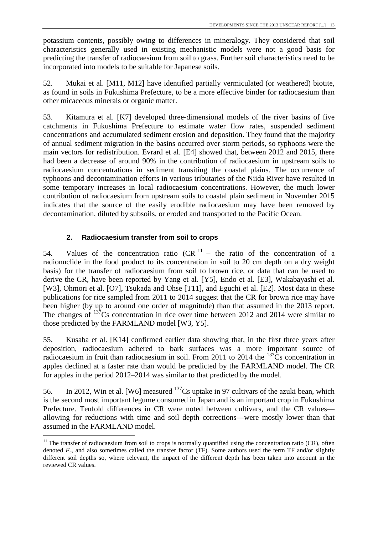potassium contents, possibly owing to differences in mineralogy. They considered that soil characteristics generally used in existing mechanistic models were not a good basis for predicting the transfer of radiocaesium from soil to grass. Further soil characteristics need to be incorporated into models to be suitable for Japanese soils.

52. Mukai et al. [M11, M12] have identified partially vermiculated (or weathered) biotite, as found in soils in Fukushima Prefecture, to be a more effective binder for radiocaesium than other micaceous minerals or organic matter.

53. Kitamura et al. [K7] developed three-dimensional models of the river basins of five catchments in Fukushima Prefecture to estimate water flow rates, suspended sediment concentrations and accumulated sediment erosion and deposition. They found that the majority of annual sediment migration in the basins occurred over storm periods, so typhoons were the main vectors for redistribution. Evrard et al. [E4] showed that, between 2012 and 2015, there had been a decrease of around 90% in the contribution of radiocaesium in upstream soils to radiocaesium concentrations in sediment transiting the coastal plains. The occurrence of typhoons and decontamination efforts in various tributaries of the Niida River have resulted in some temporary increases in local radiocaesium concentrations. However, the much lower contribution of radiocaesium from upstream soils to coastal plain sediment in November 2015 indicates that the source of the easily erodible radiocaesium may have been removed by decontamination, diluted by subsoils, or eroded and transported to the Pacific Ocean.

### **2. Radiocaesium transfer from soil to crops**

 $\overline{a}$ 

54. Values of the concentration ratio  $(CR<sup>11</sup> (CR<sup>11</sup> (CR<sup>11</sup> -$  the ratio of the concentration of a radionuclide in the food product to its concentration in soil to 20 cm depth on a dry weight basis) for the transfer of radiocaesium from soil to brown rice, or data that can be used to derive the CR, have been reported by Yang et al. [Y5], Endo et al. [E3], Wakabayashi et al. [W3], Ohmori et al. [O7], Tsukada and Ohse [T11], and Eguchi et al. [E2]. Most data in these publications for rice sampled from 2011 to 2014 suggest that the CR for brown rice may have been higher (by up to around one order of magnitude) than that assumed in the 2013 report. The changes of  $^{137}$ Cs concentration in rice over time between 2012 and 2014 were similar to those predicted by the FARMLAND model [W3, Y5].

55. Kusaba et al. [K14] confirmed earlier data showing that, in the first three years after deposition, radiocaesium adhered to bark surfaces was a more important source of radiocaesium in fruit than radiocaesium in soil. From 2011 to 2014 the  $137\text{Cs}$  concentration in apples declined at a faster rate than would be predicted by the FARMLAND model. The CR for apples in the period 2012–2014 was similar to that predicted by the model.

56. In 2012, Win et al. [W6] measured  $^{137}Cs$  uptake in 97 cultivars of the azuki bean, which is the second most important legume consumed in Japan and is an important crop in Fukushima Prefecture. Tenfold differences in CR were noted between cultivars, and the CR values allowing for reductions with time and soil depth corrections—were mostly lower than that assumed in the FARMLAND model.

 $11$  The transfer of radiocaesium from soil to crops is normally quantified using the concentration ratio (CR), often denoted  $F<sub>v</sub>$ , and also sometimes called the transfer factor (TF). Some authors used the term TF and/or slightly different soil depths so, where relevant, the impact of the different depth has been taken into account in the reviewed CR values.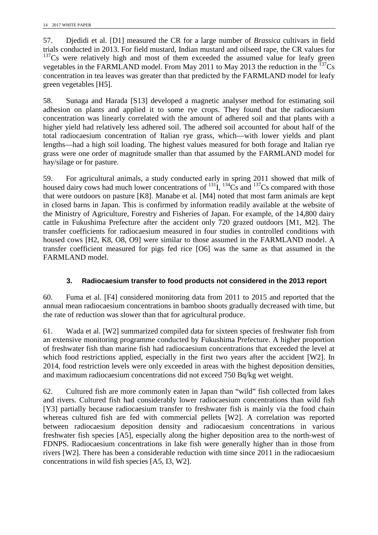57. Djedidi et al. [D1] measured the CR for a large number of *Brassica* cultivars in field trials conducted in 2013. For field mustard, Indian mustard and oilseed rape, the CR values for  $137Cs$  were relatively high and most of them exceeded the assumed value for leafy green vegetables in the FARMLAND model. From May 2011 to May 2013 the reduction in the  $^{137}Cs$ concentration in tea leaves was greater than that predicted by the FARMLAND model for leafy green vegetables [H5].

58. Sunaga and Harada [S13] developed a magnetic analyser method for estimating soil adhesion on plants and applied it to some rye crops. They found that the radiocaesium concentration was linearly correlated with the amount of adhered soil and that plants with a higher yield had relatively less adhered soil. The adhered soil accounted for about half of the total radiocaesium concentration of Italian rye grass, which—with lower yields and plant lengths—had a high soil loading. The highest values measured for both forage and Italian rye grass were one order of magnitude smaller than that assumed by the FARMLAND model for hay/silage or for pasture.

59. For agricultural animals, a study conducted early in spring 2011 showed that milk of housed dairy cows had much lower concentrations of  $^{131}I$ ,  $^{134}Cs$  and  $^{137}Cs$  compared with those that were outdoors on pasture [K8]. Manabe et al. [M4] noted that most farm animals are kept in closed barns in Japan. This is confirmed by information readily available at the website of the Ministry of Agriculture, Forestry and Fisheries of Japan. For example, of the 14,800 dairy cattle in Fukushima Prefecture after the accident only 720 grazed outdoors [M1, M2]. The transfer coefficients for radiocaesium measured in four studies in controlled conditions with housed cows [H2, K8, O8, O9] were similar to those assumed in the FARMLAND model. A transfer coefficient measured for pigs fed rice [O6] was the same as that assumed in the FARMLAND model.

### **3. Radiocaesium transfer to food products not considered in the 2013 report**

60. Fuma et al. [F4] considered monitoring data from 2011 to 2015 and reported that the annual mean radiocaesium concentrations in bamboo shoots gradually decreased with time, but the rate of reduction was slower than that for agricultural produce.

61. Wada et al. [W2] summarized compiled data for sixteen species of freshwater fish from an extensive monitoring programme conducted by Fukushima Prefecture. A higher proportion of freshwater fish than marine fish had radiocaesium concentrations that exceeded the level at which food restrictions applied, especially in the first two years after the accident [W2]. In 2014, food restriction levels were only exceeded in areas with the highest deposition densities, and maximum radiocaesium concentrations did not exceed 750 Bq/kg wet weight.

62. Cultured fish are more commonly eaten in Japan than "wild" fish collected from lakes and rivers. Cultured fish had considerably lower radiocaesium concentrations than wild fish [Y3] partially because radiocaesium transfer to freshwater fish is mainly via the food chain whereas cultured fish are fed with commercial pellets [W2]. A correlation was reported between radiocaesium deposition density and radiocaesium concentrations in various freshwater fish species [A5], especially along the higher deposition area to the north-west of FDNPS. Radiocaesium concentrations in lake fish were generally higher than in those from rivers [W2]. There has been a considerable reduction with time since 2011 in the radiocaesium concentrations in wild fish species [A5, I3, W2].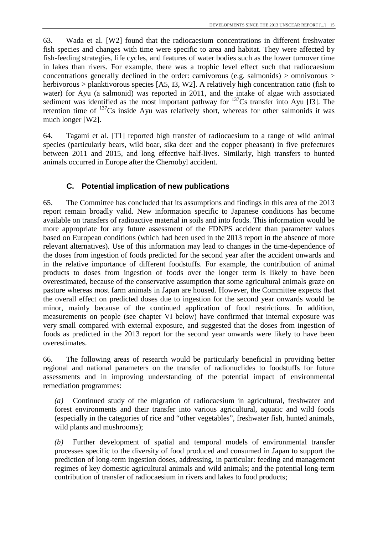63. Wada et al. [W2] found that the radiocaesium concentrations in different freshwater fish species and changes with time were specific to area and habitat. They were affected by fish-feeding strategies, life cycles, and features of water bodies such as the lower turnover time in lakes than rivers. For example, there was a trophic level effect such that radiocaesium concentrations generally declined in the order: carnivorous (e.g. salmonids) > omnivorous > herbivorous > planktivorous species [A5, I3, W2]. A relatively high concentration ratio (fish to water) for Ayu (a salmonid) was reported in 2011, and the intake of algae with associated sediment was identified as the most important pathway for  $137Cs$  transfer into Ayu [I3]. The retention time of <sup>137</sup>Cs inside Ayu was relatively short, whereas for other salmonids it was much longer [W2].

64. Tagami et al. [T1] reported high transfer of radiocaesium to a range of wild animal species (particularly bears, wild boar, sika deer and the copper pheasant) in five prefectures between 2011 and 2015, and long effective half-lives. Similarly, high transfers to hunted animals occurred in Europe after the Chernobyl accident.

# **C. Potential implication of new publications**

65. The Committee has concluded that its assumptions and findings in this area of the 2013 report remain broadly valid. New information specific to Japanese conditions has become available on transfers of radioactive material in soils and into foods. This information would be more appropriate for any future assessment of the FDNPS accident than parameter values based on European conditions (which had been used in the 2013 report in the absence of more relevant alternatives). Use of this information may lead to changes in the time-dependence of the doses from ingestion of foods predicted for the second year after the accident onwards and in the relative importance of different foodstuffs. For example, the contribution of animal products to doses from ingestion of foods over the longer term is likely to have been overestimated, because of the conservative assumption that some agricultural animals graze on pasture whereas most farm animals in Japan are housed. However, the Committee expects that the overall effect on predicted doses due to ingestion for the second year onwards would be minor, mainly because of the continued application of food restrictions. In addition, measurements on people (see chapter VI below) have confirmed that internal exposure was very small compared with external exposure, and suggested that the doses from ingestion of foods as predicted in the 2013 report for the second year onwards were likely to have been overestimates.

66. The following areas of research would be particularly beneficial in providing better regional and national parameters on the transfer of radionuclides to foodstuffs for future assessments and in improving understanding of the potential impact of environmental remediation programmes:

*(a)* Continued study of the migration of radiocaesium in agricultural, freshwater and forest environments and their transfer into various agricultural, aquatic and wild foods (especially in the categories of rice and "other vegetables", freshwater fish, hunted animals, wild plants and mushrooms);

<span id="page-22-0"></span>*(b)* Further development of spatial and temporal models of environmental transfer processes specific to the diversity of food produced and consumed in Japan to support the prediction of long-term ingestion doses, addressing, in particular: feeding and management regimes of key domestic agricultural animals and wild animals; and the potential long-term contribution of transfer of radiocaesium in rivers and lakes to food products;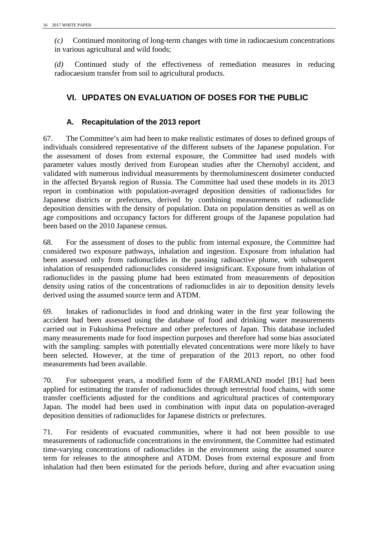*(c)* Continued monitoring of long-term changes with time in radiocaesium concentrations in various agricultural and wild foods;

<span id="page-23-0"></span>*(d)* Continued study of the effectiveness of remediation measures in reducing radiocaesium transfer from soil to agricultural products.

# **VI. UPDATES ON EVALUATION OF DOSES FOR THE PUBLIC**

# **A. Recapitulation of the 2013 report**

67. The Committee's aim had been to make realistic estimates of doses to defined groups of individuals considered representative of the different subsets of the Japanese population. For the assessment of doses from external exposure, the Committee had used models with parameter values mostly derived from European studies after the Chernobyl accident, and validated with numerous individual measurements by thermoluminescent dosimeter conducted in the affected Bryansk region of Russia. The Committee had used these models in its 2013 report in combination with population-averaged deposition densities of radionuclides for Japanese districts or prefectures, derived by combining measurements of radionuclide deposition densities with the density of population. Data on population densities as well as on age compositions and occupancy factors for different groups of the Japanese population had been based on the 2010 Japanese census.

68. For the assessment of doses to the public from internal exposure, the Committee had considered two exposure pathways, inhalation and ingestion. Exposure from inhalation had been assessed only from radionuclides in the passing radioactive plume, with subsequent inhalation of resuspended radionuclides considered insignificant. Exposure from inhalation of radionuclides in the passing plume had been estimated from measurements of deposition density using ratios of the concentrations of radionuclides in air to deposition density levels derived using the assumed source term and ATDM.

69. Intakes of radionuclides in food and drinking water in the first year following the accident had been assessed using the database of food and drinking water measurements carried out in Fukushima Prefecture and other prefectures of Japan. This database included many measurements made for food inspection purposes and therefore had some bias associated with the sampling: samples with potentially elevated concentrations were more likely to have been selected. However, at the time of preparation of the 2013 report, no other food measurements had been available.

70. For subsequent years, a modified form of the FARMLAND model [B1] had been applied for estimating the transfer of radionuclides through terrestrial food chains, with some transfer coefficients adjusted for the conditions and agricultural practices of contemporary Japan. The model had been used in combination with input data on population-averaged deposition densities of radionuclides for Japanese districts or prefectures.

71. For residents of evacuated communities, where it had not been possible to use measurements of radionuclide concentrations in the environment, the Committee had estimated time-varying concentrations of radionuclides in the environment using the assumed source term for releases to the atmosphere and ATDM. Doses from external exposure and from inhalation had then been estimated for the periods before, during and after evacuation using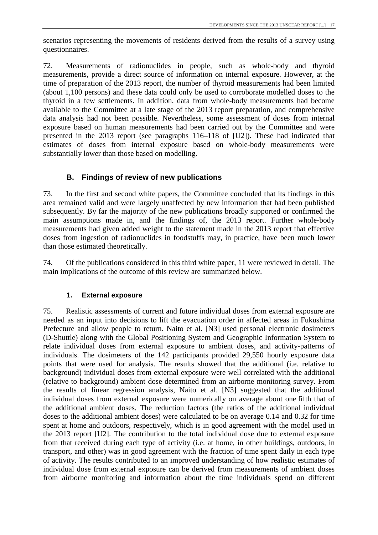scenarios representing the movements of residents derived from the results of a survey using questionnaires.

72. Measurements of radionuclides in people, such as whole-body and thyroid measurements, provide a direct source of information on internal exposure. However, at the time of preparation of the 2013 report, the number of thyroid measurements had been limited (about 1,100 persons) and these data could only be used to corroborate modelled doses to the thyroid in a few settlements. In addition, data from whole-body measurements had become available to the Committee at a late stage of the 2013 report preparation, and comprehensive data analysis had not been possible. Nevertheless, some assessment of doses from internal exposure based on human measurements had been carried out by the Committee and were presented in the 2013 report (see paragraphs 116–118 of [U2]). These had indicated that estimates of doses from internal exposure based on whole-body measurements were substantially lower than those based on modelling.

# **B. Findings of review of new publications**

73. In the first and second white papers, the Committee concluded that its findings in this area remained valid and were largely unaffected by new information that had been published subsequently. By far the majority of the new publications broadly supported or confirmed the main assumptions made in, and the findings of, the 2013 report. Further whole-body measurements had given added weight to the statement made in the 2013 report that effective doses from ingestion of radionuclides in foodstuffs may, in practice, have been much lower than those estimated theoretically.

74. Of the publications considered in this third white paper, 11 were reviewed in detail. The main implications of the outcome of this review are summarized below.

### **1. External exposure**

75. Realistic assessments of current and future individual doses from external exposure are needed as an input into decisions to lift the evacuation order in affected areas in Fukushima Prefecture and allow people to return. Naito et al. [N3] used personal electronic dosimeters (D-Shuttle) along with the Global Positioning System and Geographic Information System to relate individual doses from external exposure to ambient doses, and activity-patterns of individuals. The dosimeters of the 142 participants provided 29,550 hourly exposure data points that were used for analysis. The results showed that the additional (i.e. relative to background) individual doses from external exposure were well correlated with the additional (relative to background) ambient dose determined from an airborne monitoring survey. From the results of linear regression analysis, Naito et al. [N3] suggested that the additional individual doses from external exposure were numerically on average about one fifth that of the additional ambient doses. The reduction factors (the ratios of the additional individual doses to the additional ambient doses) were calculated to be on average 0.14 and 0.32 for time spent at home and outdoors, respectively, which is in good agreement with the model used in the 2013 report [U2]. The contribution to the total individual dose due to external exposure from that received during each type of activity (i.e. at home, in other buildings, outdoors, in transport, and other) was in good agreement with the fraction of time spent daily in each type of activity. The results contributed to an improved understanding of how realistic estimates of individual dose from external exposure can be derived from measurements of ambient doses from airborne monitoring and information about the time individuals spend on different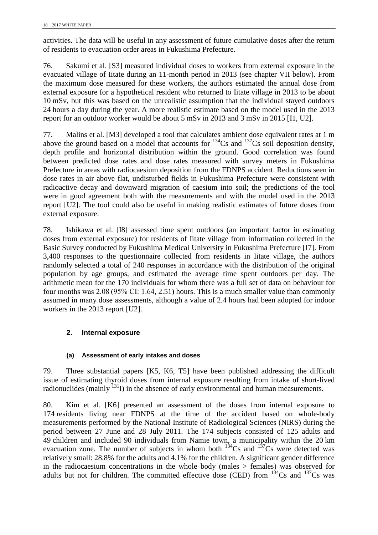activities. The data will be useful in any assessment of future cumulative doses after the return of residents to evacuation order areas in Fukushima Prefecture.

76. Sakumi et al. [S3] measured individual doses to workers from external exposure in the evacuated village of Iitate during an 11-month period in 2013 (see chapter VII below). From the maximum dose measured for these workers, the authors estimated the annual dose from external exposure for a hypothetical resident who returned to Iitate village in 2013 to be about 10 mSv, but this was based on the unrealistic assumption that the individual stayed outdoors 24 hours a day during the year. A more realistic estimate based on the model used in the 2013 report for an outdoor worker would be about 5 mSv in 2013 and 3 mSv in 2015 [I1, U2].

<span id="page-25-0"></span>77. Malins et al. [M3] developed a tool that calculates ambient dose equivalent rates at 1 m above the ground based on a model that accounts for  $^{134}Cs$  and  $^{137}Cs$  soil deposition density, depth profile and horizontal distribution within the ground. Good correlation was found between predicted dose rates and dose rates measured with survey meters in Fukushima Prefecture in areas with radiocaesium deposition from the FDNPS accident. Reductions seen in dose rates in air above flat, undisturbed fields in Fukushima Prefecture were consistent with radioactive decay and downward migration of caesium into soil; the predictions of the tool were in good agreement both with the measurements and with the model used in the 2013 report [U2]. The tool could also be useful in making realistic estimates of future doses from external exposure.

78. Ishikawa et al. [I8] assessed time spent outdoors (an important factor in estimating doses from external exposure) for residents of Iitate village from information collected in the Basic Survey conducted by Fukushima Medical University in Fukushima Prefecture [I7]. From 3,400 responses to the questionnaire collected from residents in Iitate village, the authors randomly selected a total of 240 responses in accordance with the distribution of the original population by age groups, and estimated the average time spent outdoors per day. The arithmetic mean for the 170 individuals for whom there was a full set of data on behaviour for four months was 2.08 (95% CI: 1.64, 2.51) hours. This is a much smaller value than commonly assumed in many dose assessments, although a value of 2.4 hours had been adopted for indoor workers in the 2013 report [U2].

# **2. Internal exposure**

### **(a) Assessment of early intakes and doses**

79. Three substantial papers [K5, K6, T5] have been published addressing the difficult issue of estimating thyroid doses from internal exposure resulting from intake of short-lived radionuclides (mainly  $^{131}$ I) in the absence of early environmental and human measurements.

80. Kim et al. [K6] presented an assessment of the doses from internal exposure to 174 residents living near FDNPS at the time of the accident based on whole-body measurements performed by the National Institute of Radiological Sciences (NIRS) during the period between 27 June and 28 July 2011. The 174 subjects consisted of 125 adults and 49 children and included 90 individuals from Namie town, a municipality within the 20 km evacuation zone. The number of subjects in whom both  $^{134}Cs$  and  $^{137}Cs$  were detected was relatively small: 28.8% for the adults and 4.1% for the children. A significant gender difference in the radiocaesium concentrations in the whole body (males  $>$  females) was observed for adults but not for children. The committed effective dose (CED) from  $134$ Cs and  $137$ Cs was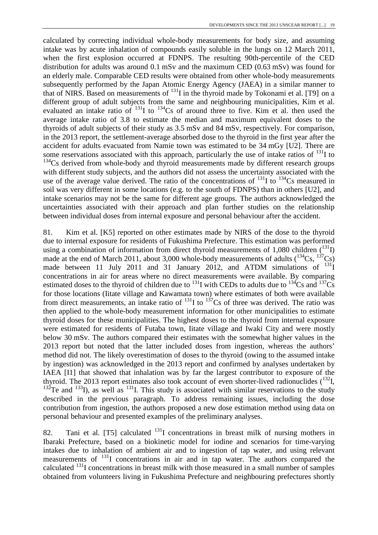calculated by correcting individual whole-body measurements for body size, and assuming intake was by acute inhalation of compounds easily soluble in the lungs on 12 March 2011, when the first explosion occurred at FDNPS. The resulting 90th-percentile of the CED distribution for adults was around 0.1 mSv and the maximum CED (0.63 mSv) was found for an elderly male. Comparable CED results were obtained from other whole-body measurements subsequently performed by the Japan Atomic Energy Agency (JAEA) in a similar manner to that of NIRS. Based on measurements of <sup>131</sup>I in the thyroid made by Tokonami et al. [T9] on a different group of adult subjects from the same and neighbouring municipalities, Kim et al. evaluated an intake ratio of  $^{131}$ I to  $^{134}$ Cs of around three to five. Kim et al. then used the average intake ratio of 3.8 to estimate the median and maximum equivalent doses to the thyroids of adult subjects of their study as 3.5 mSv and 84 mSv, respectively. For comparison, in the 2013 report, the settlement-average absorbed dose to the thyroid in the first year after the accident for adults evacuated from Namie town was estimated to be 34 mGy [U2]. There are some reservations associated with this approach, particularly the use of intake ratios of  $^{131}I$  to  $134$ Cs derived from whole-body and thyroid measurements made by different research groups with different study subjects, and the authors did not assess the uncertainty associated with the use of the average value derived. The ratio of the concentrations of  $^{131}$ I to  $^{134}$ Cs measured in soil was very different in some locations (e.g. to the south of FDNPS) than in others [U2], and intake scenarios may not be the same for different age groups. The authors acknowledged the uncertainties associated with their approach and plan further studies on the relationship between individual doses from internal exposure and personal behaviour after the accident.

81. Kim et al. [K5] reported on other estimates made by NIRS of the dose to the thyroid due to internal exposure for residents of Fukushima Prefecture. This estimation was performed using a combination of information from direct thyroid measurements of 1,080 children  $\binom{131}{1}$ made at the end of March 2011, about 3,000 whole-body measurements of adults  $(^{134}Cs, ^{137}Cs)$ made between 11 July 2011 and 31 January 2012, and ATDM simulations of  $^{131}I$ concentrations in air for areas where no direct measurements were available. By comparing estimated doses to the thyroid of children due to  $^{131}$ I with CEDs to adults due to  $^{134}$ Cs and  $^{137}$ Cs for those locations (Iitate village and Kawamata town) where estimates of both were available from direct measurements, an intake ratio of  $^{131}$ I to  $^{137}$ Cs of three was derived. The ratio was then applied to the whole-body measurement information for other municipalities to estimate thyroid doses for these municipalities. The highest doses to the thyroid from internal exposure were estimated for residents of Futaba town, Iitate village and Iwaki City and were mostly below 30 mSv. The authors compared their estimates with the somewhat higher values in the 2013 report but noted that the latter included doses from ingestion, whereas the authors' method did not. The likely overestimation of doses to the thyroid (owing to the assumed intake by ingestion) was acknowledged in the 2013 report and confirmed by analyses undertaken by IAEA [I1] that showed that inhalation was by far the largest contributor to exposure of the thyroid. The 2013 report estimates also took account of even shorter-lived radionuclides  $(^{132}I)$ ,  $132$ Te and  $133$ I), as well as  $131$ I. This study is associated with similar reservations to the study described in the previous paragraph. To address remaining issues, including the dose contribution from ingestion, the authors proposed a new dose estimation method using data on personal behaviour and presented examples of the preliminary analyses.

82. Tani et al. [T5] calculated  $131$  concentrations in breast milk of nursing mothers in Ibaraki Prefecture, based on a biokinetic model for iodine and scenarios for time-varying intakes due to inhalation of ambient air and to ingestion of tap water, and using relevant measurements of 131I concentrations in air and in tap water. The authors compared the calculated  $131$  concentrations in breast milk with those measured in a small number of samples obtained from volunteers living in Fukushima Prefecture and neighbouring prefectures shortly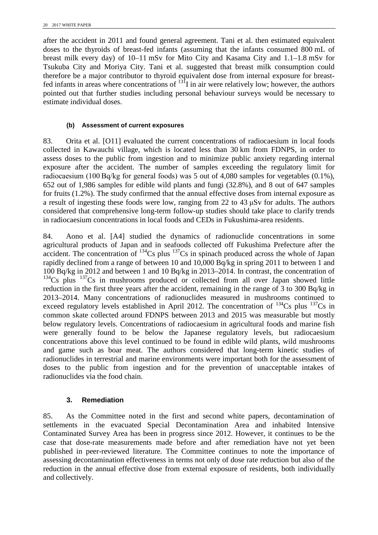after the accident in 2011 and found general agreement. Tani et al. then estimated equivalent doses to the thyroids of breast-fed infants (assuming that the infants consumed 800 mL of breast milk every day) of 10–11 mSv for Mito City and Kasama City and 1.1–1.8 mSv for Tsukuba City and Moriya City. Tani et al. suggested that breast milk consumption could therefore be a major contributor to thyroid equivalent dose from internal exposure for breastfed infants in areas where concentrations of  $^{131}$ I in air were relatively low; however, the authors pointed out that further studies including personal behaviour surveys would be necessary to estimate individual doses.

### **(b) Assessment of current exposures**

83. Orita et al. [O11] evaluated the current concentrations of radiocaesium in local foods collected in Kawauchi village, which is located less than 30 km from FDNPS, in order to assess doses to the public from ingestion and to minimize public anxiety regarding internal exposure after the accident. The number of samples exceeding the regulatory limit for radiocaesium (100 Bq/kg for general foods) was 5 out of 4,080 samples for vegetables (0.1%), 652 out of 1,986 samples for edible wild plants and fungi (32.8%), and 8 out of 647 samples for fruits (1.2%). The study confirmed that the annual effective doses from internal exposure as a result of ingesting these foods were low, ranging from 22 to 43 μSv for adults. The authors considered that comprehensive long-term follow-up studies should take place to clarify trends in radiocaesium concentrations in local foods and CEDs in Fukushima-area residents.

84. Aono et al. [A4] studied the dynamics of radionuclide concentrations in some agricultural products of Japan and in seafoods collected off Fukushima Prefecture after the  $\alpha$ cident. The concentration of  $^{134}$ Cs plus  $^{137}$ Cs in spinach produced across the whole of Japan rapidly declined from a range of between 10 and 10,000 Bq/kg in spring 2011 to between 1 and 100 Bq/kg in 2012 and between 1 and 10 Bq/kg in 2013–2014. In contrast, the concentration of  $134$ Cs plus  $137$ Cs in mushrooms produced or collected from all over Japan showed little reduction in the first three years after the accident, remaining in the range of 3 to 300 Bq/kg in 2013–2014. Many concentrations of radionuclides measured in mushrooms continued to exceed regulatory levels established in April 2012. The concentration of  $^{134}Cs$  plus  $^{137}Cs$  in common skate collected around FDNPS between 2013 and 2015 was measurable but mostly below regulatory levels. Concentrations of radiocaesium in agricultural foods and marine fish were generally found to be below the Japanese regulatory levels, but radiocaesium concentrations above this level continued to be found in edible wild plants, wild mushrooms and game such as boar meat. The authors considered that long-term kinetic studies of radionuclides in terrestrial and marine environments were important both for the assessment of doses to the public from ingestion and for the prevention of unacceptable intakes of radionuclides via the food chain.

### **3. Remediation**

85. As the Committee noted in the first and second white papers, decontamination of settlements in the evacuated Special Decontamination Area and inhabited Intensive Contaminated Survey Area has been in progress since 2012. However, it continues to be the case that dose-rate measurements made before and after remediation have not yet been published in peer-reviewed literature. The Committee continues to note the importance of assessing decontamination effectiveness in terms not only of dose rate reduction but also of the reduction in the annual effective dose from external exposure of residents, both individually and collectively.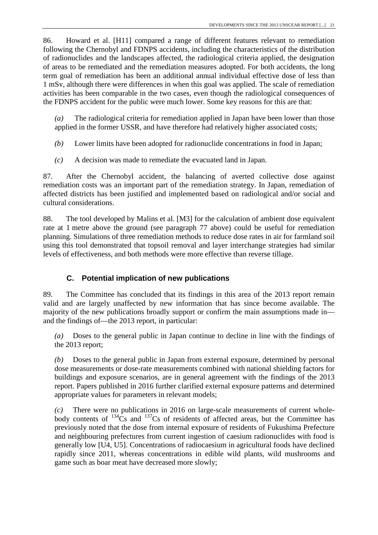86. Howard et al. [H11] compared a range of different features relevant to remediation following the Chernobyl and FDNPS accidents, including the characteristics of the distribution of radionuclides and the landscapes affected, the radiological criteria applied, the designation of areas to be remediated and the remediation measures adopted. For both accidents, the long term goal of remediation has been an additional annual individual effective dose of less than 1 mSv, although there were differences in when this goal was applied. The scale of remediation activities has been comparable in the two cases, even though the radiological consequences of the FDNPS accident for the public were much lower. Some key reasons for this are that:

*(a)* The radiological criteria for remediation applied in Japan have been lower than those applied in the former USSR, and have therefore had relatively higher associated costs;

*(b)* Lower limits have been adopted for radionuclide concentrations in food in Japan;

*(c)* A decision was made to remediate the evacuated land in Japan.

87. After the Chernobyl accident, the balancing of averted collective dose against remediation costs was an important part of the remediation strategy. In Japan, remediation of affected districts has been justified and implemented based on radiological and/or social and cultural considerations.

88. The tool developed by Malins et al. [M3] for the calculation of ambient dose equivalent rate at 1 metre above the ground (see paragraph [77](#page-25-0) above) could be useful for remediation planning. Simulations of three remediation methods to reduce dose rates in air for farmland soil using this tool demonstrated that topsoil removal and layer interchange strategies had similar levels of effectiveness, and both methods were more effective than reverse tillage.

# **C. Potential implication of new publications**

89. The Committee has concluded that its findings in this area of the 2013 report remain valid and are largely unaffected by new information that has since become available. The majority of the new publications broadly support or confirm the main assumptions made in and the findings of—the 2013 report, in particular:

*(a)* Doses to the general public in Japan continue to decline in line with the findings of the 2013 report;

*(b)* Doses to the general public in Japan from external exposure, determined by personal dose measurements or dose-rate measurements combined with national shielding factors for buildings and exposure scenarios, are in general agreement with the findings of the 2013 report. Papers published in 2016 further clarified external exposure patterns and determined appropriate values for parameters in relevant models;

*(c)* There were no publications in 2016 on large-scale measurements of current wholebody contents of  $134\text{Cs}$  and  $137\text{Cs}$  of residents of affected areas, but the Committee has previously noted that the dose from internal exposure of residents of Fukushima Prefecture and neighbouring prefectures from current ingestion of caesium radionuclides with food is generally low [U4, U5]. Concentrations of radiocaesium in agricultural foods have declined rapidly since 2011, whereas concentrations in edible wild plants, wild mushrooms and game such as boar meat have decreased more slowly;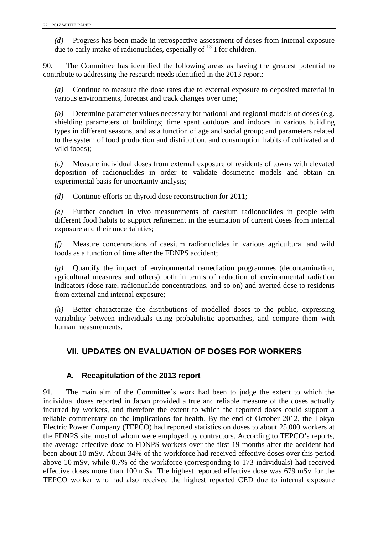*(d)* Progress has been made in retrospective assessment of doses from internal exposure due to early intake of radionuclides, especially of <sup>131</sup>I for children.

90. The Committee has identified the following areas as having the greatest potential to contribute to addressing the research needs identified in the 2013 report:

*(a)* Continue to measure the dose rates due to external exposure to deposited material in various environments, forecast and track changes over time;

*(b)* Determine parameter values necessary for national and regional models of doses (e.g. shielding parameters of buildings; time spent outdoors and indoors in various building types in different seasons, and as a function of age and social group; and parameters related to the system of food production and distribution, and consumption habits of cultivated and wild foods);

*(c)* Measure individual doses from external exposure of residents of towns with elevated deposition of radionuclides in order to validate dosimetric models and obtain an experimental basis for uncertainty analysis;

*(d)* Continue efforts on thyroid dose reconstruction for 2011;

*(e)* Further conduct in vivo measurements of caesium radionuclides in people with different food habits to support refinement in the estimation of current doses from internal exposure and their uncertainties;

*(f)* Measure concentrations of caesium radionuclides in various agricultural and wild foods as a function of time after the FDNPS accident;

*(g)* Quantify the impact of environmental remediation programmes (decontamination, agricultural measures and others) both in terms of reduction of environmental radiation indicators (dose rate, radionuclide concentrations, and so on) and averted dose to residents from external and internal exposure;

<span id="page-29-0"></span>*(h)* Better characterize the distributions of modelled doses to the public, expressing variability between individuals using probabilistic approaches, and compare them with human measurements.

# **VII. UPDATES ON EVALUATION OF DOSES FOR WORKERS**

### **A. Recapitulation of the 2013 report**

91. The main aim of the Committee's work had been to judge the extent to which the individual doses reported in Japan provided a true and reliable measure of the doses actually incurred by workers, and therefore the extent to which the reported doses could support a reliable commentary on the implications for health. By the end of October 2012, the Tokyo Electric Power Company (TEPCO) had reported statistics on doses to about 25,000 workers at the FDNPS site, most of whom were employed by contractors. According to TEPCO's reports, the average effective dose to FDNPS workers over the first 19 months after the accident had been about 10 mSv. About 34% of the workforce had received effective doses over this period above 10 mSv, while 0.7% of the workforce (corresponding to 173 individuals) had received effective doses more than 100 mSv. The highest reported effective dose was 679 mSv for the TEPCO worker who had also received the highest reported CED due to internal exposure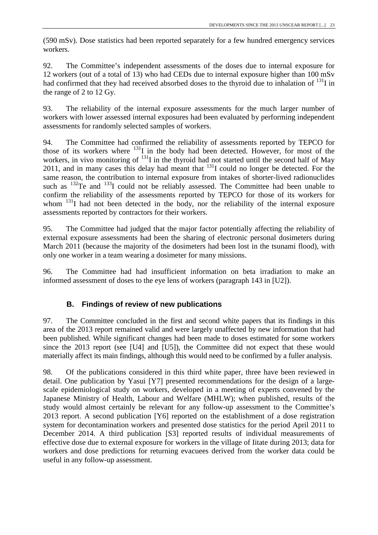(590 mSv). Dose statistics had been reported separately for a few hundred emergency services workers.

92. The Committee's independent assessments of the doses due to internal exposure for 12 workers (out of a total of 13) who had CEDs due to internal exposure higher than 100 mSv had confirmed that they had received absorbed doses to the thyroid due to inhalation of  $^{131}$ I in the range of 2 to 12 Gy.

93. The reliability of the internal exposure assessments for the much larger number of workers with lower assessed internal exposures had been evaluated by performing independent assessments for randomly selected samples of workers.

94. The Committee had confirmed the reliability of assessments reported by TEPCO for those of its workers where  $^{131}$ I in the body had been detected. However, for most of the workers, in vivo monitoring of  $^{131}$ I in the thyroid had not started until the second half of May 2011, and in many cases this delay had meant that  $^{131}$ I could no longer be detected. For the same reason, the contribution to internal exposure from intakes of shorter-lived radionuclides such as <sup>132</sup>Te and <sup>133</sup>I could not be reliably assessed. The Committee had been unable to confirm the reliability of the assessments reported by TEPCO for those of its workers for whom  $^{131}$ I had not been detected in the body, nor the reliability of the internal exposure assessments reported by contractors for their workers.

95. The Committee had judged that the major factor potentially affecting the reliability of external exposure assessments had been the sharing of electronic personal dosimeters during March 2011 (because the majority of the dosimeters had been lost in the tsunami flood), with only one worker in a team wearing a dosimeter for many missions.

96. The Committee had had insufficient information on beta irradiation to make an informed assessment of doses to the eye lens of workers (paragraph 143 in [U2]).

# **B. Findings of review of new publications**

97. The Committee concluded in the first and second white papers that its findings in this area of the 2013 report remained valid and were largely unaffected by new information that had been published. While significant changes had been made to doses estimated for some workers since the 2013 report (see [U4] and [U5]), the Committee did not expect that these would materially affect its main findings, although this would need to be confirmed by a fuller analysis.

98. Of the publications considered in this third white paper, three have been reviewed in detail. One publication by Yasui [Y7] presented recommendations for the design of a largescale epidemiological study on workers, developed in a meeting of experts convened by the Japanese Ministry of Health, Labour and Welfare (MHLW); when published, results of the study would almost certainly be relevant for any follow-up assessment to the Committee's 2013 report. A second publication [Y6] reported on the establishment of a dose registration system for decontamination workers and presented dose statistics for the period April 2011 to December 2014. A third publication [S3] reported results of individual measurements of effective dose due to external exposure for workers in the village of Iitate during 2013; data for workers and dose predictions for returning evacuees derived from the worker data could be useful in any follow-up assessment.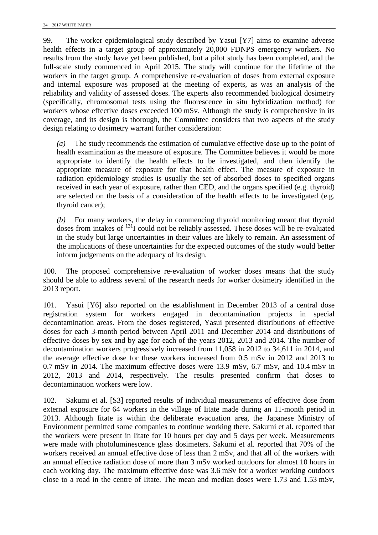99. The worker epidemiological study described by Yasui [Y7] aims to examine adverse health effects in a target group of approximately 20,000 FDNPS emergency workers. No results from the study have yet been published, but a pilot study has been completed, and the full-scale study commenced in April 2015. The study will continue for the lifetime of the workers in the target group. A comprehensive re-evaluation of doses from external exposure and internal exposure was proposed at the meeting of experts, as was an analysis of the reliability and validity of assessed doses. The experts also recommended biological dosimetry (specifically, chromosomal tests using the fluorescence in situ hybridization method) for workers whose effective doses exceeded 100 mSv. Although the study is comprehensive in its coverage, and its design is thorough, the Committee considers that two aspects of the study design relating to dosimetry warrant further consideration:

*(a)* The study recommends the estimation of cumulative effective dose up to the point of health examination as the measure of exposure. The Committee believes it would be more appropriate to identify the health effects to be investigated, and then identify the appropriate measure of exposure for that health effect. The measure of exposure in radiation epidemiology studies is usually the set of absorbed doses to specified organs received in each year of exposure, rather than CED, and the organs specified (e.g. thyroid) are selected on the basis of a consideration of the health effects to be investigated (e.g. thyroid cancer);

*(b)* For many workers, the delay in commencing thyroid monitoring meant that thyroid doses from intakes of 131I could not be reliably assessed. These doses will be re-evaluated in the study but large uncertainties in their values are likely to remain. An assessment of the implications of these uncertainties for the expected outcomes of the study would better inform judgements on the adequacy of its design.

100. The proposed comprehensive re-evaluation of worker doses means that the study should be able to address several of the research needs for worker dosimetry identified in the 2013 report.

101. Yasui [Y6] also reported on the establishment in December 2013 of a central dose registration system for workers engaged in decontamination projects in special decontamination areas. From the doses registered, Yasui presented distributions of effective doses for each 3-month period between April 2011 and December 2014 and distributions of effective doses by sex and by age for each of the years 2012, 2013 and 2014. The number of decontamination workers progressively increased from 11,058 in 2012 to 34,611 in 2014, and the average effective dose for these workers increased from 0.5 mSv in 2012 and 2013 to 0.7 mSv in 2014. The maximum effective doses were 13.9 mSv, 6.7 mSv, and 10.4 mSv in 2012, 2013 and 2014, respectively. The results presented confirm that doses to decontamination workers were low.

102. Sakumi et al. [S3] reported results of individual measurements of effective dose from external exposure for 64 workers in the village of Iitate made during an 11-month period in 2013. Although Iitate is within the deliberate evacuation area, the Japanese Ministry of Environment permitted some companies to continue working there. Sakumi et al. reported that the workers were present in Iitate for 10 hours per day and 5 days per week. Measurements were made with photoluminescence glass dosimeters. Sakumi et al. reported that 70% of the workers received an annual effective dose of less than 2 mSv, and that all of the workers with an annual effective radiation dose of more than 3 mSv worked outdoors for almost 10 hours in each working day. The maximum effective dose was 3.6 mSv for a worker working outdoors close to a road in the centre of Iitate. The mean and median doses were 1.73 and 1.53 mSv,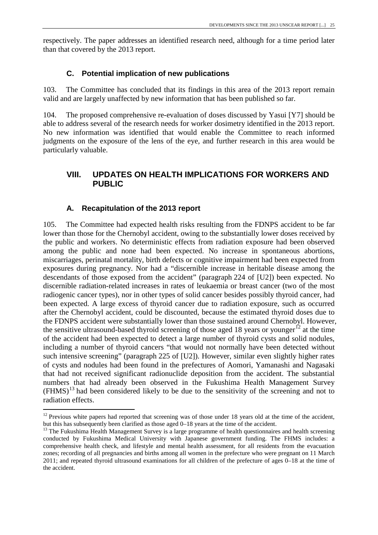respectively. The paper addresses an identified research need, although for a time period later than that covered by the 2013 report.

# **C. Potential implication of new publications**

103. The Committee has concluded that its findings in this area of the 2013 report remain valid and are largely unaffected by new information that has been published so far.

104. The proposed comprehensive re-evaluation of doses discussed by Yasui [Y7] should be able to address several of the research needs for worker dosimetry identified in the 2013 report. No new information was identified that would enable the Committee to reach informed judgments on the exposure of the lens of the eye, and further research in this area would be particularly valuable.

# <span id="page-32-0"></span>**VIII. UPDATES ON HEALTH IMPLICATIONS FOR WORKERS AND PUBLIC**

# **A. Recapitulation of the 2013 report**

105. The Committee had expected health risks resulting from the FDNPS accident to be far lower than those for the Chernobyl accident, owing to the substantially lower doses received by the public and workers. No deterministic effects from radiation exposure had been observed among the public and none had been expected. No increase in spontaneous abortions, miscarriages, perinatal mortality, birth defects or cognitive impairment had been expected from exposures during pregnancy. Nor had a "discernible increase in heritable disease among the descendants of those exposed from the accident" (paragraph 224 of [U2]) been expected. No discernible radiation-related increases in rates of leukaemia or breast cancer (two of the most radiogenic cancer types), nor in other types of solid cancer besides possibly thyroid cancer, had been expected. A large excess of thyroid cancer due to radiation exposure, such as occurred after the Chernobyl accident, could be discounted, because the estimated thyroid doses due to the FDNPS accident were substantially lower than those sustained around Chernobyl. However, the sensitive ultrasound-based thyroid screening of those aged 18 years or younger<sup>[12](#page-34-0)</sup> at the time of the accident had been expected to detect a large number of thyroid cysts and solid nodules, including a number of thyroid cancers "that would not normally have been detected without such intensive screening" (paragraph 225 of [U2]). However, similar even slightly higher rates of cysts and nodules had been found in the prefectures of Aomori, Yamanashi and Nagasaki that had not received significant radionuclide deposition from the accident. The substantial numbers that had already been observed in the Fukushima Health Management Survey  $(FHMS)<sup>13</sup>$  $(FHMS)<sup>13</sup>$  $(FHMS)<sup>13</sup>$  had been considered likely to be due to the sensitivity of the screening and not to radiation effects.

 $12$  Previous white papers had reported that screening was of those under 18 years old at the time of the accident,

but this has subsequently been clarified as those aged 0–18 years at the time of the accident.<br><sup>13</sup> The Fukushima Health Management Survey is a large programme of health questionnaires and health screening conducted by Fukushima Medical University with Japanese government funding. The FHMS includes: a comprehensive health check, and lifestyle and mental health assessment, for all residents from the evacuation zones; recording of all pregnancies and births among all women in the prefecture who were pregnant on 11 March 2011; and repeated thyroid ultrasound examinations for all children of the prefecture of ages 0–18 at the time of the accident.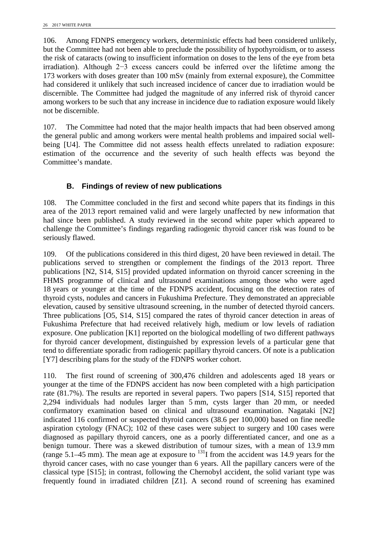106. Among FDNPS emergency workers, deterministic effects had been considered unlikely, but the Committee had not been able to preclude the possibility of hypothyroidism, or to assess the risk of cataracts (owing to insufficient information on doses to the lens of the eye from beta irradiation). Although 2−3 excess cancers could be inferred over the lifetime among the 173 workers with doses greater than 100 mSv (mainly from external exposure), the Committee had considered it unlikely that such increased incidence of cancer due to irradiation would be discernible. The Committee had judged the magnitude of any inferred risk of thyroid cancer among workers to be such that any increase in incidence due to radiation exposure would likely not be discernible.

107. The Committee had noted that the major health impacts that had been observed among the general public and among workers were mental health problems and impaired social wellbeing [U4]. The Committee did not assess health effects unrelated to radiation exposure: estimation of the occurrence and the severity of such health effects was beyond the Committee's mandate.

# **B. Findings of review of new publications**

108. The Committee concluded in the first and second white papers that its findings in this area of the 2013 report remained valid and were largely unaffected by new information that had since been published. A study reviewed in the second white paper which appeared to challenge the Committee's findings regarding radiogenic thyroid cancer risk was found to be seriously flawed.

109. Of the publications considered in this third digest, 20 have been reviewed in detail. The publications served to strengthen or complement the findings of the 2013 report. Three publications [N2, S14, S15] provided updated information on thyroid cancer screening in the FHMS programme of clinical and ultrasound examinations among those who were aged 18 years or younger at the time of the FDNPS accident, focusing on the detection rates of thyroid cysts, nodules and cancers in Fukushima Prefecture. They demonstrated an appreciable elevation, caused by sensitive ultrasound screening, in the number of detected thyroid cancers. Three publications [O5, S14, S15] compared the rates of thyroid cancer detection in areas of Fukushima Prefecture that had received relatively high, medium or low levels of radiation exposure. One publication [K1] reported on the biological modelling of two different pathways for thyroid cancer development, distinguished by expression levels of a particular gene that tend to differentiate sporadic from radiogenic papillary thyroid cancers. Of note is a publication [Y7] describing plans for the study of the FDNPS worker cohort.

110. The first round of screening of 300,476 children and adolescents aged 18 years or younger at the time of the FDNPS accident has now been completed with a high participation rate (81.7%). The results are reported in several papers. Two papers [S14, S15] reported that 2,294 individuals had nodules larger than 5 mm, cysts larger than 20 mm, or needed confirmatory examination based on clinical and ultrasound examination. Nagataki [N2] indicated 116 confirmed or suspected thyroid cancers (38.6 per 100,000) based on fine needle aspiration cytology (FNAC); 102 of these cases were subject to surgery and 100 cases were diagnosed as papillary thyroid cancers, one as a poorly differentiated cancer, and one as a benign tumour. There was a skewed distribution of tumour sizes, with a mean of 13.9 mm (range 5.1–45 mm). The mean age at exposure to  $^{131}$ I from the accident was 14.9 years for the thyroid cancer cases, with no case younger than 6 years. All the papillary cancers were of the classical type [S15]; in contrast, following the Chernobyl accident, the solid variant type was frequently found in irradiated children [Z1]. A second round of screening has examined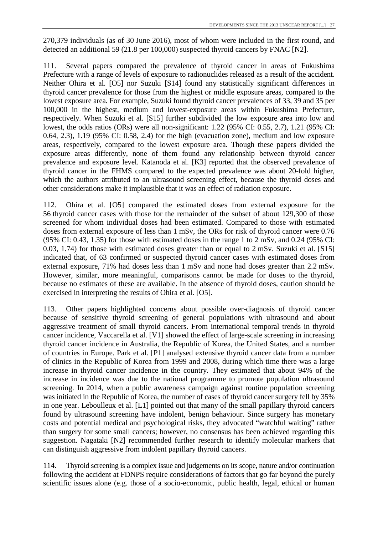270,379 individuals (as of 30 June 2016), most of whom were included in the first round, and detected an additional 59 (21.8 per 100,000) suspected thyroid cancers by FNAC [N2].

111. Several papers compared the prevalence of thyroid cancer in areas of Fukushima Prefecture with a range of levels of exposure to radionuclides released as a result of the accident. Neither Ohira et al. [O5] nor Suzuki [S14] found any statistically significant differences in thyroid cancer prevalence for those from the highest or middle exposure areas, compared to the lowest exposure area. For example, Suzuki found thyroid cancer prevalences of 33, 39 and 35 per 100,000 in the highest, medium and lowest-exposure areas within Fukushima Prefecture, respectively. When Suzuki et al. [S15] further subdivided the low exposure area into low and lowest, the odds ratios (ORs) were all non-significant: 1.22 (95% CI: 0.55, 2.7), 1.21 (95% CI: 0.64, 2.3), 1.19 (95% CI: 0.58, 2.4) for the high (evacuation zone), medium and low exposure areas, respectively, compared to the lowest exposure area. Though these papers divided the exposure areas differently, none of them found any relationship between thyroid cancer prevalence and exposure level. Katanoda et al. [K3] reported that the observed prevalence of thyroid cancer in the FHMS compared to the expected prevalence was about 20-fold higher, which the authors attributed to an ultrasound screening effect, because the thyroid doses and other considerations make it implausible that it was an effect of radiation exposure.

112. Ohira et al. [O5] compared the estimated doses from external exposure for the 56 thyroid cancer cases with those for the remainder of the subset of about 129,300 of those screened for whom individual doses had been estimated. Compared to those with estimated doses from external exposure of less than 1 mSv, the ORs for risk of thyroid cancer were 0.76 (95% CI: 0.43, 1.35) for those with estimated doses in the range 1 to 2 mSv, and 0.24 (95% CI: 0.03, 1.74) for those with estimated doses greater than or equal to 2 mSv. Suzuki et al. [S15] indicated that, of 63 confirmed or suspected thyroid cancer cases with estimated doses from external exposure, 71% had doses less than 1 mSv and none had doses greater than 2.2 mSv. However, similar, more meaningful, comparisons cannot be made for doses to the thyroid, because no estimates of these are available. In the absence of thyroid doses, caution should be exercised in interpreting the results of Ohira et al. [O5].

113. Other papers highlighted concerns about possible over-diagnosis of thyroid cancer because of sensitive thyroid screening of general populations with ultrasound and about aggressive treatment of small thyroid cancers. From international temporal trends in thyroid cancer incidence, Vaccarella et al. [V1] showed the effect of large-scale screening in increasing thyroid cancer incidence in Australia, the Republic of Korea, the United States, and a number of countries in Europe. Park et al. [P1] analysed extensive thyroid cancer data from a number of clinics in the Republic of Korea from 1999 and 2008, during which time there was a large increase in thyroid cancer incidence in the country. They estimated that about 94% of the increase in incidence was due to the national programme to promote population ultrasound screening. In 2014, when a public awareness campaign against routine population screening was initiated in the Republic of Korea, the number of cases of thyroid cancer surgery fell by 35% in one year. Leboulleux et al. [L1] pointed out that many of the small papillary thyroid cancers found by ultrasound screening have indolent, benign behaviour. Since surgery has monetary costs and potential medical and psychological risks, they advocated "watchful waiting" rather than surgery for some small cancers; however, no consensus has been achieved regarding this suggestion. Nagataki [N2] recommended further research to identify molecular markers that can distinguish aggressive from indolent papillary thyroid cancers.

<span id="page-34-1"></span><span id="page-34-0"></span>114. Thyroid screening is a complex issue and judgements on its scope, nature and/or continuation following the accident at FDNPS require considerations of factors that go far beyond the purely scientific issues alone (e.g. those of a socio-economic, public health, legal, ethical or human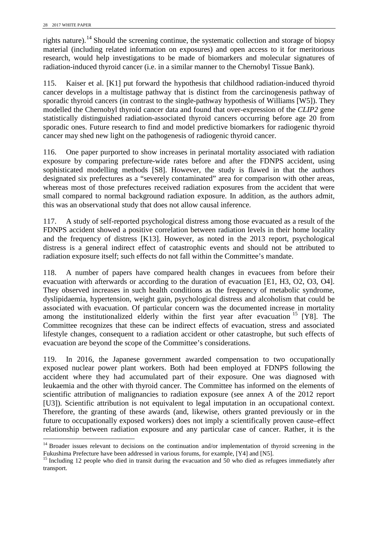rights nature).<sup>[14](#page-37-0)</sup> Should the screening continue, the systematic collection and storage of biopsy material (including related information on exposures) and open access to it for meritorious research, would help investigations to be made of biomarkers and molecular signatures of radiation-induced thyroid cancer (i.e. in a similar manner to the Chernobyl Tissue Bank).

115. Kaiser et al. [K1] put forward the hypothesis that childhood radiation-induced thyroid cancer develops in a multistage pathway that is distinct from the carcinogenesis pathway of sporadic thyroid cancers (in contrast to the single-pathway hypothesis of Williams [W5]). They modelled the Chernobyl thyroid cancer data and found that over-expression of the *CLIP2* gene statistically distinguished radiation-associated thyroid cancers occurring before age 20 from sporadic ones. Future research to find and model predictive biomarkers for radiogenic thyroid cancer may shed new light on the pathogenesis of radiogenic thyroid cancer.

116. One paper purported to show increases in perinatal mortality associated with radiation exposure by comparing prefecture-wide rates before and after the FDNPS accident, using sophisticated modelling methods [S8]. However, the study is flawed in that the authors designated six prefectures as a "severely contaminated" area for comparison with other areas, whereas most of those prefectures received radiation exposures from the accident that were small compared to normal background radiation exposure. In addition, as the authors admit, this was an observational study that does not allow causal inference.

117. A study of self-reported psychological distress among those evacuated as a result of the FDNPS accident showed a positive correlation between radiation levels in their home locality and the frequency of distress [K13]. However, as noted in the 2013 report, psychological distress is a general indirect effect of catastrophic events and should not be attributed to radiation exposure itself; such effects do not fall within the Committee's mandate.

118. A number of papers have compared health changes in evacuees from before their evacuation with afterwards or according to the duration of evacuation [E1, H3, O2, O3, O4]. They observed increases in such health conditions as the frequency of metabolic syndrome, dyslipidaemia, hypertension, weight gain, psychological distress and alcoholism that could be associated with evacuation. Of particular concern was the documented increase in mortality associated that charactering of parameters contribute the first year after evacuation <sup>[15](#page-37-1)</sup> [Y8]. The Committee recognizes that these can be indirect effects of evacuation, stress and associated lifestyle changes, consequent to a radiation accident or other catastrophe, but such effects of evacuation are beyond the scope of the Committee's considerations.

119. In 2016, the Japanese government awarded compensation to two occupationally exposed nuclear power plant workers. Both had been employed at FDNPS following the accident where they had accumulated part of their exposure. One was diagnosed with leukaemia and the other with thyroid cancer. The Committee has informed on the elements of scientific attribution of malignancies to radiation exposure (see annex A of the 2012 report [U3]). Scientific attribution is not equivalent to legal imputation in an occupational context. Therefore, the granting of these awards (and, likewise, others granted previously or in the future to occupationally exposed workers) does not imply a scientifically proven cause–effect relationship between radiation exposure and any particular case of cancer. Rather, it is the

<sup>&</sup>lt;sup>14</sup> Broader issues relevant to decisions on the continuation and/or implementation of thyroid screening in the Fukushima Prefecture have been addressed in various forums, for example, [Y4] and [N5].<br><sup>15</sup> Including 12 people who died in transit during the evacuation and 50 who died as refugees immediately after l

transport.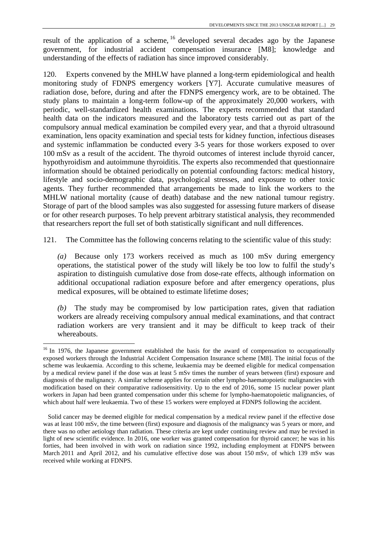result of the application of a scheme, <sup>[16](#page-38-1)</sup> developed several decades ago by the Japanese government, for industrial accident compensation insurance [M8]; knowledge and understanding of the effects of radiation has since improved considerably.

120. Experts convened by the MHLW have planned a long-term epidemiological and health monitoring study of FDNPS emergency workers [Y7]. Accurate cumulative measures of radiation dose, before, during and after the FDNPS emergency work, are to be obtained. The study plans to maintain a long-term follow-up of the approximately 20,000 workers, with periodic, well-standardized health examinations. The experts recommended that standard health data on the indicators measured and the laboratory tests carried out as part of the compulsory annual medical examination be compiled every year, and that a thyroid ultrasound examination, lens opacity examination and special tests for kidney function, infectious diseases and systemic inflammation be conducted every 3-5 years for those workers exposed to over 100 mSv as a result of the accident. The thyroid outcomes of interest include thyroid cancer, hypothyroidism and autoimmune thyroiditis. The experts also recommended that questionnaire information should be obtained periodically on potential confounding factors: medical history, lifestyle and socio-demographic data, psychological stresses, and exposure to other toxic agents. They further recommended that arrangements be made to link the workers to the MHLW national mortality (cause of death) database and the new national tumour registry. Storage of part of the blood samples was also suggested for assessing future markers of disease or for other research purposes. To help prevent arbitrary statistical analysis, they recommended that researchers report the full set of both statistically significant and null differences.

121. The Committee has the following concerns relating to the scientific value of this study:

*(a)* Because only 173 workers received as much as 100 mSv during emergency operations, the statistical power of the study will likely be too low to fulfil the study's aspiration to distinguish cumulative dose from dose-rate effects, although information on additional occupational radiation exposure before and after emergency operations, plus medical exposures, will be obtained to estimate lifetime doses;

*(b)* The study may be compromised by low participation rates, given that radiation workers are already receiving compulsory annual medical examinations, and that contract radiation workers are very transient and it may be difficult to keep track of their whereabouts.

<sup>&</sup>lt;sup>16</sup> In 1976, the Japanese government established the basis for the award of compensation to occupationally exposed workers through the Industrial Accident Compensation Insurance scheme [M8]. The initial focus of the scheme was leukaemia. According to this scheme, leukaemia may be deemed eligible for medical compensation by a medical review panel if the dose was at least 5 mSv times the number of years between (first) exposure and diagnosis of the malignancy. A similar scheme applies for certain other lympho-haematopoietic malignancies with modification based on their comparative radiosensitivity. Up to the end of 2016, some 15 nuclear power plant workers in Japan had been granted compensation under this scheme for lympho-haematopoietic malignancies, of which about half were leukaemia. Two of these 15 workers were employed at FDNPS following the accident. l

Solid cancer may be deemed eligible for medical compensation by a medical review panel if the effective dose was at least 100 mSv, the time between (first) exposure and diagnosis of the malignancy was 5 years or more, and there was no other aetiology than radiation. These criteria are kept under continuing review and may be revised in light of new scientific evidence. In 2016, one worker was granted compensation for thyroid cancer; he was in his forties, had been involved in with work on radiation since 1992, including employment at FDNPS between March 2011 and April 2012, and his cumulative effective dose was about 150 mSv, of which 139 mSv was received while working at FDNPS.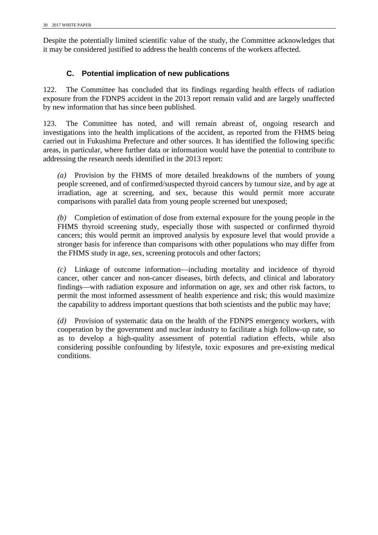Despite the potentially limited scientific value of the study, the Committee acknowledges that it may be considered justified to address the health concerns of the workers affected.

# **C. Potential implication of new publications**

122. The Committee has concluded that its findings regarding health effects of radiation exposure from the FDNPS accident in the 2013 report remain valid and are largely unaffected by new information that has since been published.

123. The Committee has noted, and will remain abreast of, ongoing research and investigations into the health implications of the accident, as reported from the FHMS being carried out in Fukushima Prefecture and other sources. It has identified the following specific areas, in particular, where further data or information would have the potential to contribute to addressing the research needs identified in the 2013 report:

*(a)* Provision by the FHMS of more detailed breakdowns of the numbers of young people screened, and of confirmed/suspected thyroid cancers by tumour size, and by age at irradiation, age at screening, and sex, because this would permit more accurate comparisons with parallel data from young people screened but unexposed;

*(b)* Completion of estimation of dose from external exposure for the young people in the FHMS thyroid screening study, especially those with suspected or confirmed thyroid cancers; this would permit an improved analysis by exposure level that would provide a stronger basis for inference than comparisons with other populations who may differ from the FHMS study in age, sex, screening protocols and other factors;

*(c)* Linkage of outcome information—including mortality and incidence of thyroid cancer, other cancer and non-cancer diseases, birth defects, and clinical and laboratory findings—with radiation exposure and information on age, sex and other risk factors, to permit the most informed assessment of health experience and risk; this would maximize the capability to address important questions that both scientists and the public may have;

<span id="page-37-1"></span><span id="page-37-0"></span>*(d)* Provision of systematic data on the health of the FDNPS emergency workers, with cooperation by the government and nuclear industry to facilitate a high follow-up rate, so as to develop a high-quality assessment of potential radiation effects, while also considering possible confounding by lifestyle, toxic exposures and pre-existing medical conditions.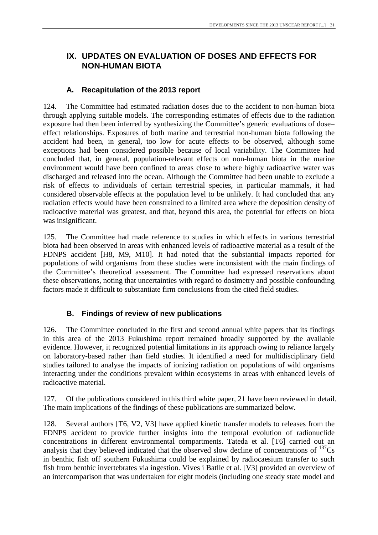# <span id="page-38-0"></span>**IX. UPDATES ON EVALUATION OF DOSES AND EFFECTS FOR NON-HUMAN BIOTA**

# **A. Recapitulation of the 2013 report**

124. The Committee had estimated radiation doses due to the accident to non-human biota through applying suitable models. The corresponding estimates of effects due to the radiation exposure had then been inferred by synthesizing the Committee's generic evaluations of dose– effect relationships. Exposures of both marine and terrestrial non-human biota following the accident had been, in general, too low for acute effects to be observed, although some exceptions had been considered possible because of local variability. The Committee had concluded that, in general, population-relevant effects on non-human biota in the marine environment would have been confined to areas close to where highly radioactive water was discharged and released into the ocean. Although the Committee had been unable to exclude a risk of effects to individuals of certain terrestrial species, in particular mammals, it had considered observable effects at the population level to be unlikely. It had concluded that any radiation effects would have been constrained to a limited area where the deposition density of radioactive material was greatest, and that, beyond this area, the potential for effects on biota was insignificant.

125. The Committee had made reference to studies in which effects in various terrestrial biota had been observed in areas with enhanced levels of radioactive material as a result of the FDNPS accident [H8, M9, M10]. It had noted that the substantial impacts reported for populations of wild organisms from these studies were inconsistent with the main findings of the Committee's theoretical assessment. The Committee had expressed reservations about these observations, noting that uncertainties with regard to dosimetry and possible confounding factors made it difficult to substantiate firm conclusions from the cited field studies.

# **B. Findings of review of new publications**

<span id="page-38-1"></span>126. The Committee concluded in the first and second annual white papers that its findings in this area of the 2013 Fukushima report remained broadly supported by the available evidence. However, it recognized potential limitations in its approach owing to reliance largely on laboratory-based rather than field studies. It identified a need for multidisciplinary field studies tailored to analyse the impacts of ionizing radiation on populations of wild organisms interacting under the conditions prevalent within ecosystems in areas with enhanced levels of radioactive material.

127. Of the publications considered in this third white paper, 21 have been reviewed in detail. The main implications of the findings of these publications are summarized below.

128. Several authors [T6, V2, V3] have applied kinetic transfer models to releases from the FDNPS accident to provide further insights into the temporal evolution of radionuclide concentrations in different environmental compartments. Tateda et al. [T6] carried out an analysis that they believed indicated that the observed slow decline of concentrations of  $^{137}Cs$ in benthic fish off southern Fukushima could be explained by radiocaesium transfer to such fish from benthic invertebrates via ingestion. Vives i Batlle et al. [V3] provided an overview of an intercomparison that was undertaken for eight models (including one steady state model and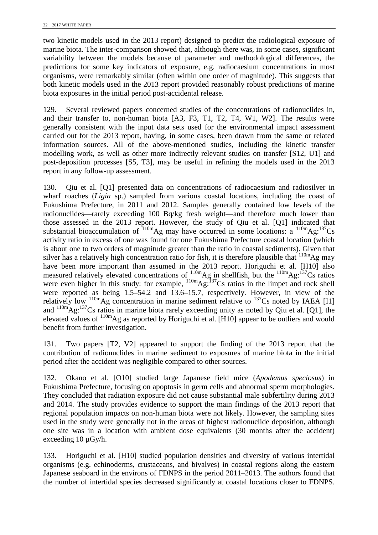two kinetic models used in the 2013 report) designed to predict the radiological exposure of marine biota. The inter-comparison showed that, although there was, in some cases, significant variability between the models because of parameter and methodological differences, the predictions for some key indicators of exposure, e.g. radiocaesium concentrations in most organisms, were remarkably similar (often within one order of magnitude). This suggests that both kinetic models used in the 2013 report provided reasonably robust predictions of marine biota exposures in the initial period post-accidental release.

129. Several reviewed papers concerned studies of the concentrations of radionuclides in, and their transfer to, non-human biota [A3, F3, T1, T2, T4, W1, W2]. The results were generally consistent with the input data sets used for the environmental impact assessment carried out for the 2013 report, having, in some cases, been drawn from the same or related information sources. All of the above-mentioned studies, including the kinetic transfer modelling work, as well as other more indirectly relevant studies on transfer [S12, U1] and post-deposition processes [S5, T3], may be useful in refining the models used in the 2013 report in any follow-up assessment.

<span id="page-39-0"></span>130. Qiu et al. [Q1] presented data on concentrations of radiocaesium and radiosilver in wharf roaches (*Ligia* sp.) sampled from various coastal locations, including the coast of Fukushima Prefecture, in 2011 and 2012. Samples generally contained low levels of the radionuclides—rarely exceeding 100 Bq/kg fresh weight—and therefore much lower than those assessed in the 2013 report. However, the study of Qiu et al. [Q1] indicated that substantial bioaccumulation of  $^{110m}$ Ag may have occurred in some locations: a  $^{110m}$ Ag:<sup>137</sup>Cs activity ratio in excess of one was found for one Fukushima Prefecture coastal location (which is about one to two orders of magnitude greater than the ratio in coastal sediments). Given that silver has a relatively high concentration ratio for fish, it is therefore plausible that <sup>110m</sup>Ag may have been more important than assumed in the 2013 report. Horiguchi et al. [H10] also measured relatively elevated concentrations of  $^{110m}$ Ag in shellfish, but the  $^{110m}$ Ag:  $^{137}$ Cs ratios were even higher in this study: for example,  $^{110m}Ag$ :  $^{137}Cs$  ratios in the limpet and rock shell were reported as being 1.5–54.2 and 13.6–15.7, respectively. However, in view of the relatively low  $110m\text{Ag}$  concentration in marine sediment relative to  $137\text{Cs}$  noted by IAEA [I1] and 110mAg:137Cs ratios in marine biota rarely exceeding unity as noted by Qiu et al. [Q1], the elevated values of  $^{110m}$ Ag as reported by Horiguchi et al. [H10] appear to be outliers and would benefit from further investigation.

131. Two papers [T2, V2] appeared to support the finding of the 2013 report that the contribution of radionuclides in marine sediment to exposures of marine biota in the initial period after the accident was negligible compared to other sources.

132. Okano et al. [O10] studied large Japanese field mice (*Apodemus speciosus*) in Fukushima Prefecture, focusing on apoptosis in germ cells and abnormal sperm morphologies. They concluded that radiation exposure did not cause substantial male subfertility during 2013 and 2014. The study provides evidence to support the main findings of the 2013 report that regional population impacts on non-human biota were not likely. However, the sampling sites used in the study were generally not in the areas of highest radionuclide deposition, although one site was in a location with ambient dose equivalents (30 months after the accident) exceeding  $10 \mu Gy/h$ .

133. Horiguchi et al. [H10] studied population densities and diversity of various intertidal organisms (e.g. echinoderms, crustaceans, and bivalves) in coastal regions along the eastern Japanese seaboard in the environs of FDNPS in the period 2011–2013. The authors found that the number of intertidal species decreased significantly at coastal locations closer to FDNPS.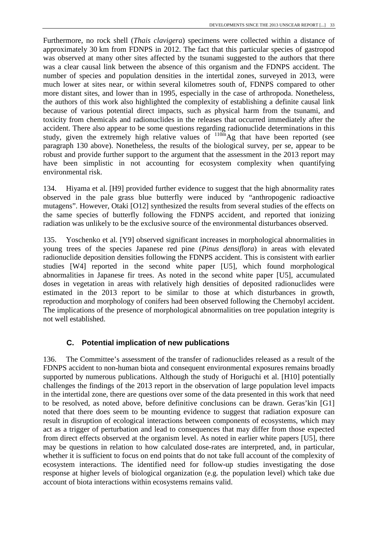Furthermore, no rock shell (*Thais clavigera*) specimens were collected within a distance of approximately 30 km from FDNPS in 2012. The fact that this particular species of gastropod was observed at many other sites affected by the tsunami suggested to the authors that there was a clear causal link between the absence of this organism and the FDNPS accident. The number of species and population densities in the intertidal zones, surveyed in 2013, were much lower at sites near, or within several kilometres south of, FDNPS compared to other more distant sites, and lower than in 1995, especially in the case of arthropoda. Nonetheless, the authors of this work also highlighted the complexity of establishing a definite causal link because of various potential direct impacts, such as physical harm from the tsunami, and toxicity from chemicals and radionuclides in the releases that occurred immediately after the accident. There also appear to be some questions regarding radionuclide determinations in this study, given the extremely high relative values of  $110<sup>th</sup>$  Ag that have been reported (see paragraph [130](#page-39-0) above). Nonetheless, the results of the biological survey, per se, appear to be robust and provide further support to the argument that the assessment in the 2013 report may have been simplistic in not accounting for ecosystem complexity when quantifying environmental risk.

134. Hiyama et al. [H9] provided further evidence to suggest that the high abnormality rates observed in the pale grass blue butterfly were induced by "anthropogenic radioactive mutagens". However, Otaki [O12] synthesized the results from several studies of the effects on the same species of butterfly following the FDNPS accident, and reported that ionizing radiation was unlikely to be the exclusive source of the environmental disturbances observed.

135. Yoschenko et al. [Y9] observed significant increases in morphological abnormalities in young trees of the species Japanese red pine (*Pinus densiflora*) in areas with elevated radionuclide deposition densities following the FDNPS accident. This is consistent with earlier studies [W4] reported in the second white paper [U5], which found morphological abnormalities in Japanese fir trees. As noted in the second white paper [U5], accumulated doses in vegetation in areas with relatively high densities of deposited radionuclides were estimated in the 2013 report to be similar to those at which disturbances in growth, reproduction and morphology of conifers had been observed following the Chernobyl accident. The implications of the presence of morphological abnormalities on tree population integrity is not well established.

# **C. Potential implication of new publications**

136. The Committee's assessment of the transfer of radionuclides released as a result of the FDNPS accident to non-human biota and consequent environmental exposures remains broadly supported by numerous publications. Although the study of Horiguchi et al. [H10] potentially challenges the findings of the 2013 report in the observation of large population level impacts in the intertidal zone, there are questions over some of the data presented in this work that need to be resolved, as noted above, before definitive conclusions can be drawn. Geras'kin [G1] noted that there does seem to be mounting evidence to suggest that radiation exposure can result in disruption of ecological interactions between components of ecosystems, which may act as a trigger of perturbation and lead to consequences that may differ from those expected from direct effects observed at the organism level. As noted in earlier white papers [U5], there may be questions in relation to how calculated dose-rates are interpreted, and, in particular, whether it is sufficient to focus on end points that do not take full account of the complexity of ecosystem interactions. The identified need for follow-up studies investigating the dose response at higher levels of biological organization (e.g. the population level) which take due account of biota interactions within ecosystems remains valid.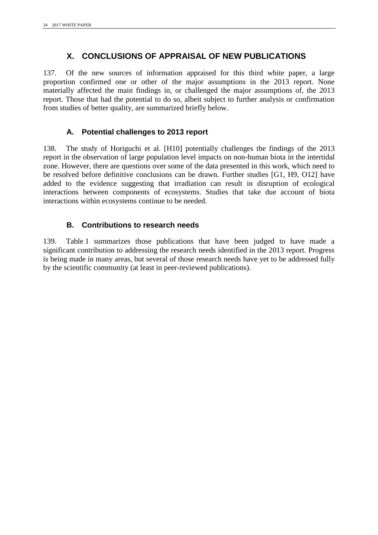# <span id="page-41-0"></span>**X. CONCLUSIONS OF APPRAISAL OF NEW PUBLICATIONS**

137. Of the new sources of information appraised for this third white paper, a large proportion confirmed one or other of the major assumptions in the 2013 report. None materially affected the main findings in, or challenged the major assumptions of, the 2013 report. Those that had the potential to do so, albeit subject to further analysis or confirmation from studies of better quality, are summarized briefly below.

# **A. Potential challenges to 2013 report**

138. The study of Horiguchi et al. [H10] potentially challenges the findings of the 2013 report in the observation of large population level impacts on non-human biota in the intertidal zone. However, there are questions over some of the data presented in this work, which need to be resolved before definitive conclusions can be drawn. Further studies [G1, H9, O12] have added to the evidence suggesting that irradiation can result in disruption of ecological interactions between components of ecosystems. Studies that take due account of biota interactions within ecosystems continue to be needed.

# **B. Contributions to research needs**

139. Table 1 summarizes those publications that have been judged to have made a significant contribution to addressing the research needs identified in the 2013 report. Progress is being made in many areas, but several of those research needs have yet to be addressed fully by the scientific community (at least in peer-reviewed publications).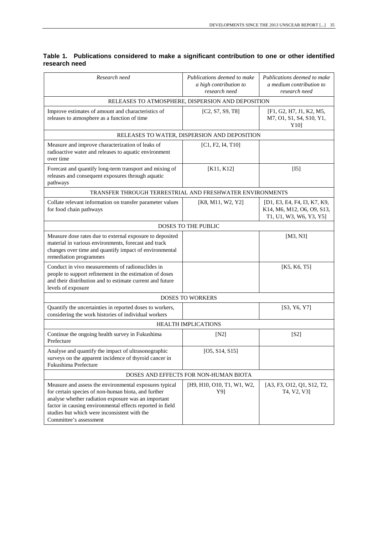| Research need                                                                                                                                                                                                                                                                                               | Publications deemed to make<br>a high contribution to<br>research need | Publications deemed to make<br>a medium contribution to<br>research need              |
|-------------------------------------------------------------------------------------------------------------------------------------------------------------------------------------------------------------------------------------------------------------------------------------------------------------|------------------------------------------------------------------------|---------------------------------------------------------------------------------------|
|                                                                                                                                                                                                                                                                                                             | RELEASES TO ATMOSPHERE, DISPERSION AND DEPOSITION                      |                                                                                       |
| Improve estimates of amount and characteristics of<br>releases to atmosphere as a function of time                                                                                                                                                                                                          | [C2, S7, S9, T8]                                                       | [F1, G2, H7, J1, K2, M5,<br>M7, O1, S1, S4, S10, Y1,<br>Y <sub>10</sub>               |
|                                                                                                                                                                                                                                                                                                             | RELEASES TO WATER, DISPERSION AND DEPOSITION                           |                                                                                       |
| Measure and improve characterization of leaks of<br>radioactive water and releases to aquatic environment<br>over time                                                                                                                                                                                      | [C1, F2, I4, T10]                                                      |                                                                                       |
| Forecast and quantify long-term transport and mixing of<br>releases and consequent exposures through aquatic<br>pathways                                                                                                                                                                                    | [K11, K12]                                                             | [15]                                                                                  |
| TRANSFER THROUGH TERRESTRIAL AND FRESHWATER ENVIRONMENTS                                                                                                                                                                                                                                                    |                                                                        |                                                                                       |
| Collate relevant information on transfer parameter values<br>for food chain pathways                                                                                                                                                                                                                        | [K8, M11, W2, Y2]                                                      | [D1, E3, E4, F4, I3, K7, K9,<br>K14, M6, M12, O6, O9, S13,<br>T1, U1, W3, W6, Y3, Y5] |
|                                                                                                                                                                                                                                                                                                             | <b>DOSES TO THE PUBLIC</b>                                             |                                                                                       |
| Measure dose rates due to external exposure to deposited<br>material in various environments, forecast and track<br>changes over time and quantify impact of environmental<br>remediation programmes                                                                                                        |                                                                        | [M3, N3]                                                                              |
| Conduct in vivo measurements of radionuclides in<br>people to support refinement in the estimation of doses<br>and their distribution and to estimate current and future<br>levels of exposure                                                                                                              |                                                                        | [K5, K6, T5]                                                                          |
|                                                                                                                                                                                                                                                                                                             | <b>DOSES TO WORKERS</b>                                                |                                                                                       |
| Quantify the uncertainties in reported doses to workers,<br>considering the work histories of individual workers                                                                                                                                                                                            |                                                                        | [S3, Y6, Y7]                                                                          |
|                                                                                                                                                                                                                                                                                                             | <b>HEALTH IMPLICATIONS</b>                                             |                                                                                       |
| Continue the ongoing health survey in Fukushima<br>Prefecture                                                                                                                                                                                                                                               | [N2]                                                                   | [S2]                                                                                  |
| Analyse and quantify the impact of ultrasonographic<br>surveys on the apparent incidence of thyroid cancer in<br>Fukushima Prefecture                                                                                                                                                                       | [O5, S14, S15]                                                         |                                                                                       |
|                                                                                                                                                                                                                                                                                                             | DOSES AND EFFECTS FOR NON-HUMAN BIOTA                                  |                                                                                       |
| Measure and assess the environmental exposures typical<br>for certain species of non-human biota, and further<br>analyse whether radiation exposure was an important<br>factor in causing environmental effects reported in field<br>studies but which were inconsistent with the<br>Committee's assessment | [H9, H10, O10, T1, W1, W2,<br>Y9]                                      | [A3, F3, O12, Q1, S12, T2,<br>T4, V2, V3]                                             |

### **Table 1. Publications considered to make a significant contribution to one or other identified research need**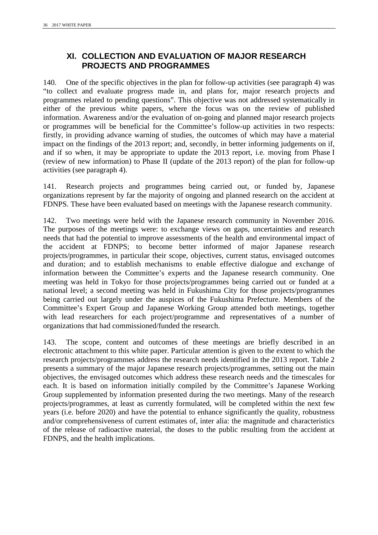# <span id="page-43-0"></span>**XI. COLLECTION AND EVALUATION OF MAJOR RESEARCH PROJECTS AND PROGRAMMES**

140. One of the specific objectives in the plan for follow-up activities (see paragraph [4\)](#page-8-4) was "to collect and evaluate progress made in, and plans for, major research projects and programmes related to pending questions". This objective was not addressed systematically in either of the previous white papers, where the focus was on the review of published information. Awareness and/or the evaluation of on-going and planned major research projects or programmes will be beneficial for the Committee's follow-up activities in two respects: firstly, in providing advance warning of studies, the outcomes of which may have a material impact on the findings of the 2013 report; and, secondly, in better informing judgements on if, and if so when, it may be appropriate to update the 2013 report, i.e. moving from Phase I (review of new information) to Phase II (update of the 2013 report) of the plan for follow-up activities (see paragraph [4\)](#page-8-4).

141. Research projects and programmes being carried out, or funded by, Japanese organizations represent by far the majority of ongoing and planned research on the accident at FDNPS. These have been evaluated based on meetings with the Japanese research community.

142. Two meetings were held with the Japanese research community in November 2016. The purposes of the meetings were: to exchange views on gaps, uncertainties and research needs that had the potential to improve assessments of the health and environmental impact of the accident at FDNPS; to become better informed of major Japanese research projects/programmes, in particular their scope, objectives, current status, envisaged outcomes and duration; and to establish mechanisms to enable effective dialogue and exchange of information between the Committee's experts and the Japanese research community. One meeting was held in Tokyo for those projects/programmes being carried out or funded at a national level; a second meeting was held in Fukushima City for those projects/programmes being carried out largely under the auspices of the Fukushima Prefecture. Members of the Committee's Expert Group and Japanese Working Group attended both meetings, together with lead researchers for each project/programme and representatives of a number of organizations that had commissioned/funded the research.

143. The scope, content and outcomes of these meetings are briefly described in an electronic attachment to this white paper. Particular attention is given to the extent to which the research projects/programmes address the research needs identified in the 2013 report. Table 2 presents a summary of the major Japanese research projects/programmes, setting out the main objectives, the envisaged outcomes which address these research needs and the timescales for each. It is based on information initially compiled by the Committee's Japanese Working Group supplemented by information presented during the two meetings. Many of the research projects/programmes, at least as currently formulated, will be completed within the next few years (i.e. before 2020) and have the potential to enhance significantly the quality, robustness and/or comprehensiveness of current estimates of, inter alia: the magnitude and characteristics of the release of radioactive material, the doses to the public resulting from the accident at FDNPS, and the health implications.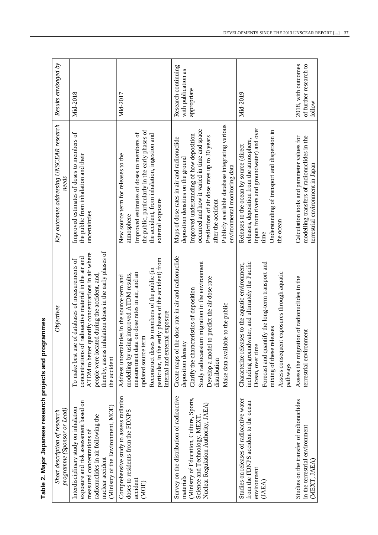| programme (Sponsor or Lead)<br>Short description of research                                                                                                                                                 | Objectives                                                                                                                                                                                                                                                                                                          | Key outcomes addressing UNSCEAR research<br>needs                                                                                                                                                                                                                                                                                      | Results envisaged by                                      |
|--------------------------------------------------------------------------------------------------------------------------------------------------------------------------------------------------------------|---------------------------------------------------------------------------------------------------------------------------------------------------------------------------------------------------------------------------------------------------------------------------------------------------------------------|----------------------------------------------------------------------------------------------------------------------------------------------------------------------------------------------------------------------------------------------------------------------------------------------------------------------------------------|-----------------------------------------------------------|
| exposure and risk assessment based on<br>(Ministry of the Environment, MOE)<br>Interdisciplinary study on inhalation<br>radionuclides in air following the<br>measured concentrations of<br>nuclear accident | thereby, assess inhalation doses in the early phases of<br>ATDM to better quantify concentrations in air where<br>concentrations of radioactive material in the air and<br>of databases of measurements of<br>people were located during the accident, and<br>To make best use<br>the accident                      | Improved estimates of doses to members of<br>the public from inhalation and their<br>uncertainties                                                                                                                                                                                                                                     | Mid-2018                                                  |
| Comprehensive study to assess radiation<br>doses to residents from the FDNPS<br>accident<br>(MOE)                                                                                                            | particular, in the early phases of the accident) from<br>Reconstruct doses to members of the public (in<br>measurement data on dose rates in air, and an<br>ig improved ATDM results,<br>Address uncertainties in the source term and<br>internal and external exposure<br>updated source term<br>modelling by usin | the public, particularly in the early phases of<br>Improved estimates of doses to members of<br>the accident, from inhalation, ingestion and<br>New source term for releases to the<br>external exposure<br>atmosphere                                                                                                                 | Mid-2017                                                  |
| Survey on the distribution of radioactive<br>(Ministry of Education, Culture, Sports,<br>Nuclear Regulation Authority, JAEA)<br>Science and Technology, MEXT<br>materials                                    | Create maps of the dose rate in air and radionuclide<br>Study radiocaesium migration in the environment<br>to predict the air dose rate<br>Clarify the characteristics of deposition<br>Make data available to the public<br>deposition density<br>Develop a model<br>distribution                                  | Publicly available database integrating various<br>occurred and how it varied in time and space<br>Improved understanding of how deposition<br>Predictions of air dose rates up to 30 years<br>Maps of dose rates in air and radionuclide<br>deposition densities on the ground<br>environmental monitoring data<br>after the accident | Research continuing<br>with publication as<br>appropriate |
| Studies on releases of radioactive water<br>from the FDNPS accident to the ocean<br>environment<br>(JAEA)                                                                                                    | Forecast and quantify the long-term transport and<br>including groundwater, and ultimately the Pacific<br>Characterize releases to the aquatic environment,<br>Assess consequent exposures through aquatic<br>mixing of these releases<br>Ocean, over time<br>pathways                                              | inputs from rivers and groundwater) and over<br>Understanding of transport and dispersion in<br>releases, deposition from the atmosphere,<br>Releases to the ocean by source (direct<br>the ocean<br>time                                                                                                                              | Mid-2019                                                  |
| Studies on the transfer of radionuclides<br>in the terrestrial environment<br>(MEXT, JAEA)                                                                                                                   | Assess the migration of radionuclides in the<br>terrestrial environment                                                                                                                                                                                                                                             | Calculation tools and parameter values for<br>modelling transfers of radionuclides in the<br>terrestrial environment in Japan                                                                                                                                                                                                          | 2018, with outcomes<br>of further research to<br>follow   |

# Table 2. Major Japanese research projects and programmes **Table 2. Major Japanese research projects and programmes**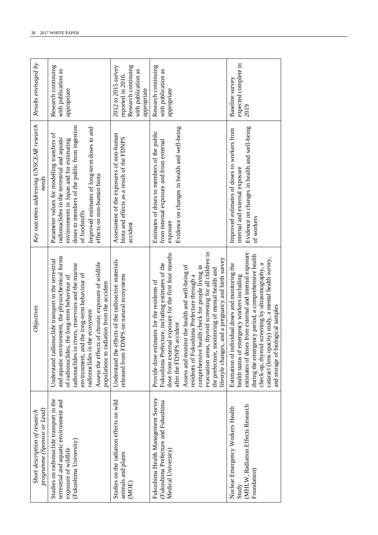| programme (Sponsor or Lead)<br>Short description of research                                                                          | Objectives                                                                                                                                                                                                                                                                                                                                                                                                                                                                                                     | Key outcomes addressing UNSCEAR research<br>needs                                                                                                                                                                                                                                       | Results envisaged by                                                                                  |
|---------------------------------------------------------------------------------------------------------------------------------------|----------------------------------------------------------------------------------------------------------------------------------------------------------------------------------------------------------------------------------------------------------------------------------------------------------------------------------------------------------------------------------------------------------------------------------------------------------------------------------------------------------------|-----------------------------------------------------------------------------------------------------------------------------------------------------------------------------------------------------------------------------------------------------------------------------------------|-------------------------------------------------------------------------------------------------------|
| Studies on radionuclide transport in the<br>terrestrial and aquatic environment and<br>(Fukushima University)<br>exposure of wildlife | and aquatic environment, the physiochemical forms<br>Understand radionuclide transport in the terrestrial<br>Assess the effects of chronic exposure of wildlife<br>radionuclides in rivers, reservoirs and the marine<br>environment, and the long-term behaviour of<br>of radionuclides, the long-term behaviour of<br>populations to radiation from the accident<br>the ecosystem<br>radionuclides in                                                                                                        | doses to members of the public from ingestion<br>Improved estimates of long-term doses to and<br>Parameter values for modelling transfers of<br>radionuclides in the terrestrial and aquatic<br>environments in Japan and for estimating<br>effects on non-human biota<br>of foodstuffs | Research continuing<br>with publication as<br>appropriate                                             |
| Studies on the radiation effects on wild<br>animals and plants<br>(MOE)                                                               | Understand the effects of the radioactive materials<br>released from FDNPS on natural ecosystems                                                                                                                                                                                                                                                                                                                                                                                                               | Assessment of the exposures of non-human<br>biota and effects as a result of the FDNPS<br>accident                                                                                                                                                                                      | Research continuing<br>2012 to 2015 survey<br>with publication as<br>reported in 2016.<br>appropriate |
| Fukushima Health Management Survey<br>(Fukushima Prefecture and Fukushima<br>Medical University)                                      | evacuation areas, thyroid screening for all children in<br>dose from external exposure for the first four months<br>lifestyle changes, and a pregnancy and birth survey<br>Fukushima Prefecture, including estimates of the<br>Assess and monitor the health and well-being of<br>comprehensive health check for people living in<br>the prefecture, monitoring of mental health and<br>residents of Fukushima Prefecture through a<br>Provide dose estimates for the residents of<br>after the FDNPS accident | Evidence on changes in health and well-being<br>Estimates of doses to members of the public<br>from internal exposure and from external<br>exposure                                                                                                                                     | Research continuing<br>with publication as<br>appropriate                                             |
| (MHLW, Radiation Effects Research<br>Nuclear Emergency Workers Health<br>Foundation)<br>Study                                         | estimates of doses from external and internal exposure<br>during the emergency period, a comprehensive health<br>cataract (lens opacity) study, a mental health survey,<br>screening by ultrasonography, a<br>Estimation of individual doses and monitoring the<br>health status of emergency workers including<br>and storage of biological samples<br>check-up, thyroid                                                                                                                                      | Evidence on changes in health and well-being<br>Improved estimates of doses to workers from<br>internal and external exposure<br>of workers                                                                                                                                             | expected complete in<br>Baseline survey<br>2019                                                       |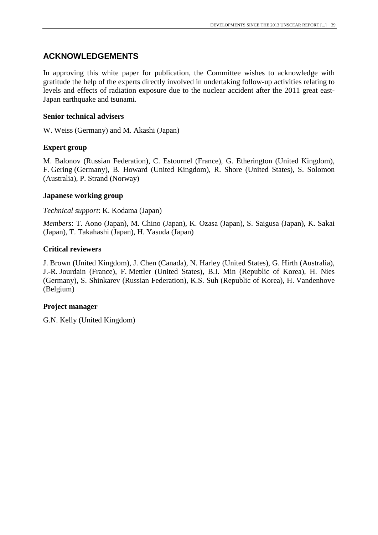# <span id="page-46-0"></span>**ACKNOWLEDGEMENTS**

In approving this white paper for publication, the Committee wishes to acknowledge with gratitude the help of the experts directly involved in undertaking follow-up activities relating to levels and effects of radiation exposure due to the nuclear accident after the 2011 great east-Japan earthquake and tsunami.

### **Senior technical advisers**

W. Weiss (Germany) and M. Akashi (Japan)

### **Expert group**

M. Balonov (Russian Federation), C. Estournel (France), G. Etherington (United Kingdom), F. Gering (Germany), B. Howard (United Kingdom), R. Shore (United States), S. Solomon (Australia), P. Strand (Norway)

### **Japanese working group**

### *Technical support*: K. Kodama (Japan)

*Members*: T. Aono (Japan), M. Chino (Japan), K. Ozasa (Japan), S. Saigusa (Japan), K. Sakai (Japan), T. Takahashi (Japan), H. Yasuda (Japan)

### **Critical reviewers**

J. Brown (United Kingdom), J. Chen (Canada), N. Harley (United States), G. Hirth (Australia), J.-R. Jourdain (France), F. Mettler (United States), B.I. Min (Republic of Korea), H. Nies (Germany), S. Shinkarev (Russian Federation), K.S. Suh (Republic of Korea), H. Vandenhove (Belgium)

### **Project manager**

G.N. Kelly (United Kingdom)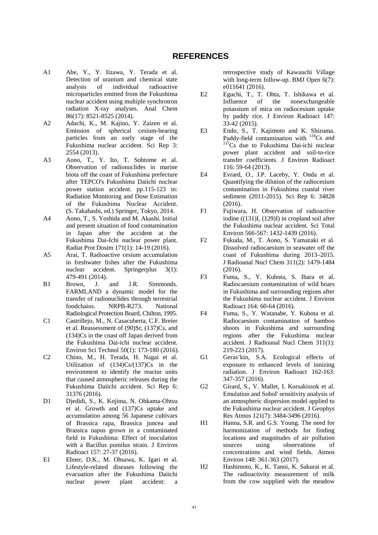### **REFERENCES**

- <span id="page-48-0"></span>A1 Abe, Y., Y. Iizawa, Y. Terada et al. Detection of uranium and chemical state analysis of individual radioactive microparticles emitted from the Fukushima nuclear accident using multiple synchrotron radiation X-ray analyses. Anal Chem 86(17): 8521-8525 (2014).
- A2 Adachi, K., M. Kajino, Y. Zaizen et al. Emission of spherical cesium-bearing particles from an early stage of the Fukushima nuclear accident. Sci Rep 3: 2554 (2013).
- A3 Aono, T., Y. Ito, T. Sohtome et al. Observation of radionuclides in marine biota off the coast of Fukushima prefecture after TEPCO's Fukushima Daiichi nuclear power station accident. pp.115-123 in: Radiation Monitoring and Dose Estimation of the Fukushima Nuclear Accident. (S. Takahashi, ed.) Springer, Tokyo, 2014.
- A4 Aono, T., S. Yoshida and M. Akashi. Initial and present situation of food contamination in Japan after the accident at the Fukushima Dai-Ichi nuclear power plant. Radiat Prot Dosim 171(1): 14-19 (2016).
- A5 Arai, T. Radioactive cesium accumulation in freshwater fishes after the Fukushima nuclear accident. Springerplus 3(1): 479-491 (2014).
- B1 Brown, J. and J.R. Simmonds. FARMLAND a dynamic model for the transfer of radionuclides through terrestrial foodchains. NRPB-R273. National Radiological Protection Board, Chilton, 1995.
- C1 Castrillejo, M., N. Casacuberta, C.F. Breier et al. Reassessment of (90)Sr, (137)Cs, and (134)Cs in the coast off Japan derived from the Fukushima Dai-ichi nuclear accident. Environ Sci Technol 50(1): 173-180 (2016).
- C2 Chino, M., H. Terada, H. Nagai et al. Utilization of  $(134)Cs/(137)Cs$  in the environment to identify the reactor units that caused atmospheric releases during the Fukushima Daiichi accident. Sci Rep 6: 31376 (2016).
- D1 Djedidi, S., K. Kojima, N. Ohkama-Ohtsu et al. Growth and (137)Cs uptake and accumulation among 56 Japanese cultivars of Brassica rapa, Brassica juncea and Brassica napus grown in a contaminated field in Fukushima: Effect of inoculation with a Bacillus pumilus strain. J Environ Radioact 157: 27-37 (2016).
- E1 Ebner, D.K., M. Ohsawa, K. Igari et al. Lifestyle-related diseases following the evacuation after the Fukushima Daiichi nuclear power plant accident: a

retrospective study of Kawauchi Village with long-term follow-up. BMJ Open 6(7): e011641 (2016).

- E2 Eguchi, T., T. Ohta, T. Ishikawa et al. Influence of the nonexchangeable potassium of mica on radiocesium uptake by paddy rice. J Environ Radioact 147: 33-42 (2015).
- E3 Endo, S., T. Kajimoto and K. Shizuma.<br>Paddy-field contamination with <sup>134</sup>Cs and  $P^{137}Cs$  due to Fukushima Dai-ichi nuclear power plant accident and soil-to-rice transfer coefficients. J Environ Radioact 116: 59-64 (2013).
- E4 Evrard, O., J.P. Laceby, Y. Onda et al. Quantifying the dilution of the radiocesium contamination in Fukushima coastal river sediment (2011-2015). Sci Rep 6: 34828 (2016).
- F1 Fujiwara, H. Observation of radioactive iodine ((131)I, (129)I) in cropland soil after the Fukushima nuclear accident. Sci Total Environ 566-567: 1432-1439 (2016).
- F2 Fukuda, M., T. Aono, S. Yamazaki et al. Dissolved radiocaesium in seawater off the coast of Fukushima during 2013–2015. J Radioanal Nucl Chem 311(2): 1479-1484 (2016).
- F3 Fuma, S., Y. Kubota, S. Ihara et al. Radiocaesium contamination of wild boars in Fukushima and surrounding regions after the Fukushima nuclear accident. J Environ Radioact 164: 60-64 (2016).
- F4 Fuma, S., Y. Watanabe, Y. Kubota et al. Radiocaesium contamination of bamboo shoots in Fukushima and surrounding regions after the Fukushima nuclear accident. J Radioanal Nucl Chem 311(1): 219-223 (2017).
- G1 Geras'kin, S.A. Ecological effects of exposure to enhanced levels of ionizing radiation. J Environ Radioact 162-163: 347-357 (2016).
- G2 Girard, S., V. Mallet, I. Korsakissok et al. Emulation and Sobol' sensitivity analysis of an atmospheric dispersion model applied to the Fukushima nuclear accident. J Geophys Res Atmos 121(7): 3484-3496 (2016).
- H1 Hanna, S.R. and G.S. Young. The need for harmonization of methods for finding locations and magnitudes of air pollution sources using observations of concentrations and wind fields. Atmos Environ 148: 361-363 (2017).
- H2 Hashimoto, K., K. Tanoi, K. Sakurai et al. The radioactivity measurement of milk from the cow supplied with the meadow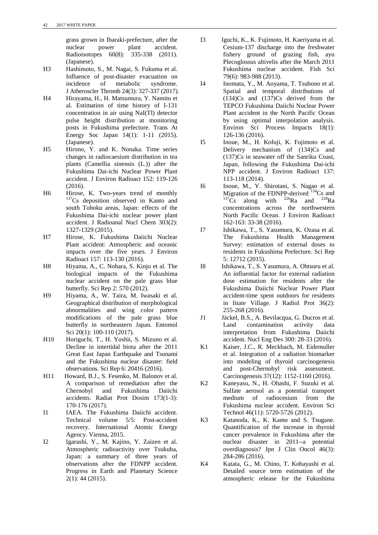grass grown in Ibaraki-prefecture, after the nuclear power plant accident. Radioisotopes 60(8): 335-338 (2011). (Japanese).

- H3 Hashimoto, S., M. Nagai, S. Fukuma et al. Influence of post-disaster evacuation on incidence of metabolic syndrome. J Atheroscler Thromb 24(3): 327-337 (2017).
- H4 Hirayama, H., H. Matsumura, Y. Namito et al. Estimation of time history of I-131 concentration in air using NaI(Tl) detector pulse height distribution at monitoring posts in Fukushima prefecture. Trans At Energy Soc Japan 14(1): 1-11 (2015). (Japanese).
- H5 Hirono, Y. and K. Nonaka. Time series changes in radiocaesium distribution in tea plants (Camellia sinensis (L.)) after the Fukushima Dai-ichi Nuclear Power Plant accident. J Environ Radioact 152: 119-126  $(2016)$ .
- H6 Hirose, K. Two-years trend of monthly 137Cs deposition observed in Kanto and south Tohoku areas, Japan: effects of the Fukushima Dai-ichi nuclear power plant accident. J Radioanal Nucl Chem 303(2): 1327-1329 (2015).
- H7 Hirose, K. Fukushima Daiichi Nuclear Plant accident: Atmospheric and oceanic impacts over the five years. J Environ Radioact 157: 113-130 (2016).
- H8 Hiyama, A., C. Nohara, S. Kinjo et al. The biological impacts of the Fukushima nuclear accident on the pale grass blue butterfly. Sci Rep 2: 570 (2012).
- H9 Hiyama, A., W. Taira, M. Iwasaki et al. Geographical distribution of morphological abnormalities and wing color pattern modifications of the pale grass blue butterfly in northeastern Japan. Entomol Sci 20(1): 100-110 (2017).
- H10 Horiguchi, T., H. Yoshii, S. Mizuno et al. Decline in intertidal biota after the 2011 Great East Japan Earthquake and Tsunami and the Fukushima nuclear disaster: field observations. Sci Rep 6: 20416 (2016).
- H11 Howard, B.J., S. Fesenko, M. Balonov et al. A comparison of remediation after the Chernobyl and Fukushima Daiichi accidents. Radiat Prot Dosim 173(1-3): 170-176 (2017).
- I1 IAEA. The Fukushima Daiichi accident. Technical volume 5/5: Post-accident recovery. International Atomic Energy Agency. Vienna, 2015.
- I2 Igarashi, Y., M. Kajino, Y. Zaizen et al. Atmospheric radioactivity over Tsukuba, Japan: a summary of three years of observations after the FDNPP accident. Progress in Earth and Planetary Science 2(1): 44 (2015).
- I3 Iguchi, K., K. Fujimoto, H. Kaeriyama et al. Cesium-137 discharge into the freshwater fishery ground of grazing fish, ayu Plecoglossus altivelis after the March 2011 Fukushima nuclear accident. Fish Sci 79(6): 983-988 (2013).
- I4 Inomata, Y., M. Aoyama, T. Tsubono et al. Spatial and temporal distributions of (134)Cs and (137)Cs derived from the TEPCO Fukushima Daiichi Nuclear Power Plant accident in the North Pacific Ocean by using optimal interpolation analysis. Environ Sci Process Impacts 18(1): 126-136 (2016).
- I5 Inoue, M., H. Kofuji, K. Fujimoto et al. Delivery mechanism of (134)Cs and (137)Cs in seawater off the Sanriku Coast, Japan, following the Fukushima Dai-ichi NPP accident. J Environ Radioact 137: 113-118 (2014).
- I6 Inoue, M., Y. Shirotani, S. Nagao et al. Migration of the FDNPP-derived  $^{134}$ Cs and  $^{137}$ Cs along with  $^{226}$ Ra and  $^{228}$ Ra concentrations across the northwestern North Pacific Ocean. J Environ Radioact 162-163: 33-38 (2016).
- I7 Ishikawa, T., S. Yasumura, K. Ozasa et al. The Fukushima Health Management Survey: estimation of external doses to residents in Fukushima Prefecture. Sci Rep 5: 12712 (2015).
- I8 Ishikawa, T., S. Yasumura, A. Ohtsuru et al. An influential factor for external radiation dose estimation for residents after the Fukushima Daiichi Nuclear Power Plant accident-time spent outdoors for residents in Iitate Village. J Radiol Prot 36(2): 255-268 (2016).
- J1 Jäckel, B.S., A. Bevilacqua, G. Ducros et al. Land contamination activity data interpretation from Fukushima Daiichi accident. Nucl Eng Des 300: 28-33 (2016).
- K1 Kaiser, J.C., R. Meckbach, M. Eidemuller et al. Integration of a radiation biomarker into modeling of thyroid carcinogenesis and post-Chernobyl risk assessment. Carcinogenesis 37(12): 1152-1160 (2016).
- K2 Kaneyasu, N., H. Ohashi, F. Suzuki et al. Sulfate aerosol as a potential transport medium of radiocesium from the Fukushima nuclear accident. Environ Sci Technol 46(11): 5720-5726 (2012).
- K3 Katanoda, K., K. Kamo and S. Tsugane. Quantification of the increase in thyroid cancer prevalence in Fukushima after the nuclear disaster in 2011--a potential overdiagnosis? Jpn J Clin Oncol 46(3): 284-286 (2016).
- K4 Katata, G., M. Chino, T. Kobayashi et al. Detailed source term estimation of the atmospheric release for the Fukushima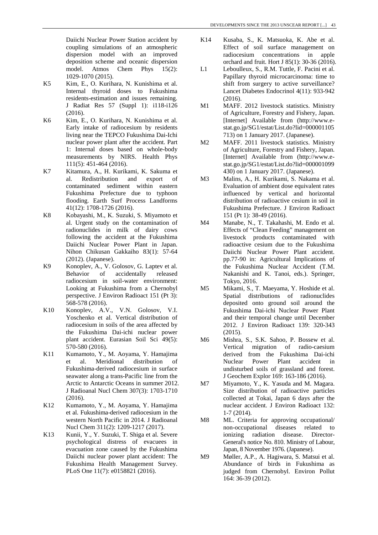Daiichi Nuclear Power Station accident by coupling simulations of an atmospheric dispersion model with an improved deposition scheme and oceanic dispersion model. Atmos Chem Phys 15(2): 1029-1070 (2015).

- K5 Kim, E., O. Kurihara, N. Kunishima et al. Internal thyroid doses to Fukushima residents-estimation and issues remaining. J Radiat Res 57 (Suppl 1): i118-i126  $(2016)$
- K6 Kim, E., O. Kurihara, N. Kunishima et al. Early intake of radiocesium by residents living near the TEPCO Fukushima Dai-Ichi nuclear power plant after the accident. Part 1: Internal doses based on whole-body measurements by NIRS. Health Phys 111(5): 451-464 (2016).
- K7 Kitamura, A., H. Kurikami, K. Sakuma et al. Redistribution and export of contaminated sediment within eastern Fukushima Prefecture due to typhoon flooding. Earth Surf Process Landforms 41(12): 1708-1726 (2016).
- K8 Kobayashi, M., K. Suzuki, S. Miyamoto et al. Urgent study on the contamination of radionuclides in milk of dairy cows following the accident at the Fukushima Daiichi Nuclear Power Plant in Japan. Nihon Chikusan Gakkaiho 83(1): 57-64 (2012). (Japanese).
- K9 Konoplev, A., V. Golosov, G. Laptev et al. Behavior of accidentally released radiocesium in soil-water environment: Looking at Fukushima from a Chernobyl perspective. J Environ Radioact 151 (Pt 3): 568-578 (2016).
- K10 Konoplev, A.V., V.N. Golosov, V.I. Yoschenko et al. Vertical distribution of radiocesium in soils of the area affected by the Fukushima Dai-ichi nuclear power plant accident. Eurasian Soil Sci 49(5): 570-580 (2016).
- K11 Kumamoto, Y., M. Aoyama, Y. Hamajima et al. Meridional distribution of Fukushima-derived radiocesium in surface seawater along a trans-Pacific line from the Arctic to Antarctic Oceans in summer 2012. J Radioanal Nucl Chem 307(3): 1703-1710  $(2016)$
- K12 Kumamoto, Y., M. Aoyama, Y. Hamajima et al. Fukushima-derived radiocesium in the western North Pacific in 2014. J Radioanal Nucl Chem 311(2): 1209-1217 (2017).
- K13 Kunii, Y., Y. Suzuki, T. Shiga et al. Severe psychological distress of evacuees in evacuation zone caused by the Fukushima Daiichi nuclear power plant accident: The Fukushima Health Management Survey. PLoS One 11(7): e0158821 (2016).
- K14 Kusaba, S., K. Matsuoka, K. Abe et al. Effect of soil surface management on radiocesium concentrations in apple orchard and fruit. Hort J 85(1): 30-36 (2016).
- L1 Leboulleux, S., R.M. Tuttle, F. Pacini et al. Papillary thyroid microcarcinoma: time to shift from surgery to active surveillance? Lancet Diabetes Endocrinol 4(11): 933-942 (2016).
- M1 MAFF. 2012 livestock statistics. Ministry of Agriculture, Forestry and Fishery, Japan. [Internet] Available from (http://www.estat.go.jp/SG1/estat/List.do?lid=000001105 713) on 1 January 2017. (Japanese).
- M2 MAFF. 2011 livestock statistics. Ministry of Agriculture, Forestry and Fishery, Japan. [Internet] Available from (http://www.estat.go.jp/SG1/estat/List.do?lid=000001099 430) on 1 January 2017. (Japanese).
- M3 Malins, A., H. Kurikami, S. Nakama et al. Evaluation of ambient dose equivalent rates influenced by vertical and horizontal distribution of radioactive cesium in soil in Fukushima Prefecture. J Environ Radioact 151 (Pt 1): 38-49 (2016).
- M4 Manabe, N., T. Takahashi, M. Endo et al. Effects of "Clean Feeding" management on livestock products contaminated with radioactive cesium due to the Fukushima Daiichi Nuclear Power Plant accident. pp.77-90 in: Agricultural Implications of the Fukushima Nuclear Accident (T.M. Nakanishi and K. Tanoi, eds.). Springer, Tokyo, 2016.
- M5 Mikami, S., T. Maeyama, Y. Hoshide et al. Spatial distributions of radionuclides deposited onto ground soil around the Fukushima Dai-ichi Nuclear Power Plant and their temporal change until December 2012. J Environ Radioact 139: 320-343  $(2015).$
- M6 Mishra, S., S.K. Sahoo, P. Bossew et al. Vertical migration of radio-caesium derived from the Fukushima Dai-ichi Nuclear Power Plant accident in undisturbed soils of grassland and forest. J Geochem Explor 169: 163-186 (2016).
- M7 Miyamoto, Y., K. Yasuda and M. Magara. Size distribution of radioactive particles collected at Tokai, Japan 6 days after the nuclear accident. J Environ Radioact 132: 1-7 (2014).
- M8 ML. Criteria for approving occupational/ non-occupational diseases related to ionizing radiation disease. Director-General's notice No. 810. Ministry of Labour, Japan, 8 November 1976. (Japanese).
- M9 Møller, A.P., A. Hagiwara, S. Matsui et al. Abundance of birds in Fukushima as judged from Chernobyl. Environ Pollut 164: 36-39 (2012).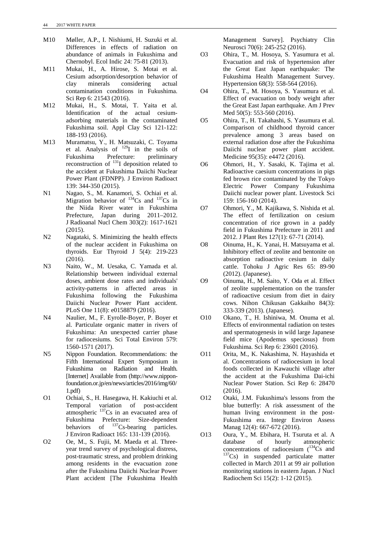- M10 Møller, A.P., I. Nishiumi, H. Suzuki et al. Differences in effects of radiation on abundance of animals in Fukushima and Chernobyl. Ecol Indic 24: 75-81 (2013).
- M11 Mukai, H., A. Hirose, S. Motai et al. Cesium adsorption/desorption behavior of clay minerals considering actual contamination conditions in Fukushima. Sci Rep 6: 21543 (2016).
- M12 Mukai, H., S. Motai, T. Yaita et al. Identification of the actual cesiumadsorbing materials in the contaminated Fukushima soil. Appl Clay Sci 121-122: 188-193 (2016).
- M13 Muramatsu, Y., H. Matsuzaki, C. Toyama et al. Analysis of 129I in the soils of Fukushima Prefecture: preliminary reconstruction of  $^{131}I$  deposition related to the accident at Fukushima Daiichi Nuclear Power Plant (FDNPP). J Environ Radioact 139: 344-350 (2015).
- N1 Nagao, S., M. Kanamori, S. Ochiai et al. Migration behavior of  $^{134}Cs$  and  $^{137}Cs$  in the Niida River water in Fukushima Prefecture, Japan during 2011–2012. J Radioanal Nucl Chem 303(2): 1617-1621 (2015).
- N2 Nagataki, S. Minimizing the health effects of the nuclear accident in Fukushima on thyroids. Eur Thyroid J 5(4): 219-223 (2016).
- N3 Naito, W., M. Uesaka, C. Yamada et al. Relationship between individual external doses, ambient dose rates and individuals' activity-patterns in affected areas in Fukushima following the Fukushima Daiichi Nuclear Power Plant accident. PLoS One 11(8): e0158879 (2016).
- N4 Naulier, M., F. Eyrolle-Boyer, P. Boyer et al. Particulate organic matter in rivers of Fukushima: An unexpected carrier phase for radiocesiums. Sci Total Environ 579: 1560-1571 (2017).
- N5 Nippon Foundation. Recommendations: the Fifth International Expert Symposium in Fukushima on Radiation and Health. [Internet] Available from (http://www.nipponfoundation.or.jp/en/news/articles/2016/img/60/ 1.pdf)
- O1 Ochiai, S., H. Hasegawa, H. Kakiuchi et al. Temporal variation of post-accident atmospheric  $137$ Cs in an evacuated area of Fukushima Prefecture: Size-dependent behaviors of  $^{137}Cs$ -bearing particles. J Environ Radioact 165: 131-139 (2016).
- O2 Oe, M., S. Fujii, M. Maeda et al. Threeyear trend survey of psychological distress, post-traumatic stress, and problem drinking among residents in the evacuation zone after the Fukushima Daiichi Nuclear Power Plant accident [The Fukushima Health

Management Survey]. Psychiatry Clin Neurosci 70(6): 245-252 (2016).

- O3 Ohira, T., M. Hosoya, S. Yasumura et al. Evacuation and risk of hypertension after the Great East Japan earthquake: The Fukushima Health Management Survey. Hypertension 68(3): 558-564 (2016).
- O4 Ohira, T., M. Hosoya, S. Yasumura et al. Effect of evacuation on body weight after the Great East Japan earthquake. Am J Prev Med 50(5): 553-560 (2016).
- O5 Ohira, T., H. Takahashi, S. Yasumura et al. Comparison of childhood thyroid cancer prevalence among 3 areas based on external radiation dose after the Fukushima Daiichi nuclear power plant accident. Medicine 95(35): e4472 (2016).
- O6 Ohmori, H., Y. Sasaki, K. Tajima et al. Radioactive caesium concentrations in pigs fed brown rice contaminated by the Tokyo Electric Power Company Fukushima Daiichi nuclear power plant. Livestock Sci 159: 156-160 (2014).
- O7 Ohmori, Y., M. Kajikawa, S. Nishida et al. The effect of fertilization on cesium concentration of rice grown in a paddy field in Fukushima Prefecture in 2011 and 2012. J Plant Res 127(1): 67-71 (2014).
- O8 Oinuma, H., K. Yanai, H. Matsuyama et al. Inhibitory effect of zeolite and bentonite on absorption radioactive cesium in daily cattle. Tohoku J Agric Res 65: 89-90 (2012). (Japanese).
- O9 Oinuma, H., M. Saito, Y. Oda et al. Effect of zeolite supplementation on the transfer of radioactive cesium from diet in dairy cows. Nihon Chikusan Gakkaiho 84(3): 333-339 (2013). (Japanese).
- O10 Okano, T., H. Ishiniwa, M. Onuma et al. Effects of environmental radiation on testes and spermatogenesis in wild large Japanese field mice (Apodemus speciosus) from Fukushima. Sci Rep 6: 23601 (2016).
- O11 Orita, M., K. Nakashima, N. Hayashida et al. Concentrations of radiocesium in local foods collected in Kawauchi village after the accident at the Fukushima Dai-ichi Nuclear Power Station. Sci Rep 6: 28470 (2016).
- O12 Otaki, J.M. Fukushima's lessons from the blue butterfly: A risk assessment of the human living environment in the post-Fukushima era. Integr Environ Assess Manag 12(4): 667-672 (2016).
- O13 Oura, Y., M. Ebihara, H. Tsuruta et al. A database of hourly atmospheric<br>concentrations of radiocesium  $\binom{134}{5}$  and  $^{137}Cs$  in suspended particulate matter collected in March 2011 at 99 air pollution monitoring stations in eastern Japan. J Nucl Radiochem Sci 15(2): 1-12 (2015).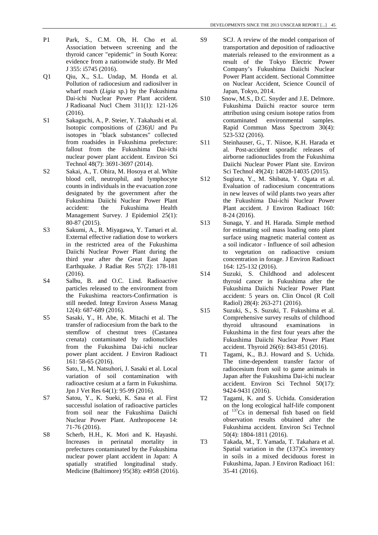- P1 Park, S., C.M. Oh, H. Cho et al. Association between screening and the thyroid cancer "epidemic" in South Korea: evidence from a nationwide study. Br Med J 355: i5745 (2016).
- Q1 Qiu, X., S.L. Undap, M. Honda et al. Pollution of radiocesium and radiosilver in wharf roach (*Ligia* sp.) by the Fukushima Dai-ichi Nuclear Power Plant accident. J Radioanal Nucl Chem 311(1): 121-126 (2016).
- S1 Sakaguchi, A., P. Steier, Y. Takahashi et al. Isotopic compositions of (236)U and Pu isotopes in "black substances" collected from roadsides in Fukushima prefecture: fallout from the Fukushima Dai-ichi nuclear power plant accident. Environ Sci Technol 48(7): 3691-3697 (2014).
- S2 Sakai, A., T. Ohira, M. Hosoya et al. White blood cell, neutrophil, and lymphocyte counts in individuals in the evacuation zone designated by the government after the Fukushima Daiichi Nuclear Power Plant accident: the Fukushima Health Management Survey. J Epidemiol 25(1): 80-87 (2015).
- S3 Sakumi, A., R. Miyagawa, Y. Tamari et al. External effective radiation dose to workers in the restricted area of the Fukushima Daiichi Nuclear Power Plant during the third year after the Great East Japan Earthquake. J Radiat Res 57(2): 178-181 (2016).
- S4 Salbu, B. and O.C. Lind. Radioactive particles released to the environment from the Fukushima reactors-Confirmation is still needed. Integr Environ Assess Manag 12(4): 687-689 (2016).
- S5 Sasaki, Y., H. Abe, K. Mitachi et al. The transfer of radiocesium from the bark to the stemflow of chestnut trees (Castanea crenata) contaminated by radionuclides from the Fukushima Dai-ichi nuclear power plant accident. J Environ Radioact 161: 58-65 (2016).
- S6 Sato, I., M. Natsuhori, J. Sasaki et al. Local variation of soil contamination with radioactive cesium at a farm in Fukushima. Jpn J Vet Res 64(1): 95-99 (2016).
- S7 Satou, Y., K. Sueki, K. Sasa et al. First successful isolation of radioactive particles from soil near the Fukushima Daiichi Nuclear Power Plant. Anthropocene 14: 71-76 (2016).
- S8 Scherb, H.H., K. Mori and K. Hayashi. Increases in perinatal mortality in prefectures contaminated by the Fukushima nuclear power plant accident in Japan: A spatially stratified longitudinal study. Medicine (Baltimore) 95(38): e4958 (2016).
- SP SCJ. A review of the model comparison of transportation and deposition of radioactive materials released to the environment as a result of the Tokyo Electric Power Company's Fukushima Daiichi Nuclear Power Plant accident. Sectional Committee on Nuclear Accident, Science Council of Japan, Tokyo, 2014.
- S10 Snow, M.S., D.C. Snyder and J.E. Delmore. Fukushima Daiichi reactor source term attribution using cesium isotope ratios from contaminated environmental samples. Rapid Commun Mass Spectrom 30(4): 523-532 (2016).
- S11 Steinhauser, G., T. Niisoe, K.H. Harada et al. Post-accident sporadic releases of airborne radionuclides from the Fukushima Daiichi Nuclear Power Plant site. Environ Sci Technol 49(24): 14028-14035 (2015).
- S12 Sugiura, Y., M. Shibata, Y. Ogata et al. Evaluation of radiocesium concentrations in new leaves of wild plants two years after the Fukushima Dai-ichi Nuclear Power Plant accident. J Environ Radioact 160: 8-24 (2016).
- S13 Sunaga, Y. and H. Harada. Simple method for estimating soil mass loading onto plant surface using magnetic material content as a soil indicator - Influence of soil adhesion to vegetation on radioactive cesium concentration in forage. J Environ Radioact 164: 125-132 (2016).
- S14 Suzuki, S. Childhood and adolescent thyroid cancer in Fukushima after the Fukushima Daiichi Nuclear Power Plant accident: 5 years on. Clin Oncol (R Coll Radiol) 28(4): 263-271 (2016).
- S15 Suzuki, S., S. Suzuki, T. Fukushima et al. Comprehensive survey results of childhood thyroid ultrasound examinations in Fukushima in the first four years after the Fukushima Daiichi Nuclear Power Plant accident. Thyroid 26(6): 843-851 (2016).
- T1 Tagami, K., B.J. Howard and S. Uchida. The time-dependent transfer factor of radiocesium from soil to game animals in Japan after the Fukushima Dai-ichi nuclear accident. Environ Sci Technol 50(17): 9424-9431 (2016).
- T2 Tagami, K. and S. Uchida. Consideration on the long ecological half-life component of 137Cs in demersal fish based on field observation results obtained after the Fukushima accident. Environ Sci Technol 50(4): 1804-1811 (2016).
- T3 Takada, M., T. Yamada, T. Takahara et al. Spatial variation in the (137)Cs inventory in soils in a mixed deciduous forest in Fukushima, Japan. J Environ Radioact 161: 35-41 (2016).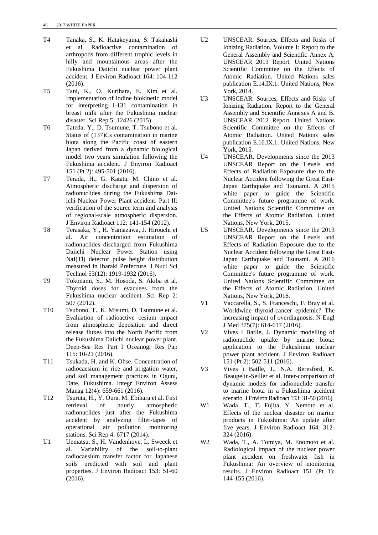- T4 Tanaka, S., K. Hatakeyama, S. Takahashi et al. Radioactive contamination of arthropods from different trophic levels in hilly and mountainous areas after the Fukushima Daiichi nuclear power plant accident. J Environ Radioact 164: 104-112  $(2016)$
- T5 Tani, K., O. Kurihara, E. Kim et al. Implementation of iodine biokinetic model for interpreting I-131 contamination in breast milk after the Fukushima nuclear disaster. Sci Rep 5: 12426 (2015).
- T6 Tateda, Y., D. Tsumune, T. Tsubono et al. Status of (137)Cs contamination in marine biota along the Pacific coast of eastern Japan derived from a dynamic biological model two years simulation following the Fukushima accident. J Environ Radioact 151 (Pt 2): 495-501 (2016).
- T7 Terada, H., G. Katata, M. Chino et al. Atmospheric discharge and dispersion of radionuclides during the Fukushima Daiichi Nuclear Power Plant accident. Part II: verification of the source term and analysis of regional-scale atmospheric dispersion. J Environ Radioact 112: 141-154 (2012).
- T8 Terasaka, Y., H. Yamazawa, J. Hirouchi et al. Air concentration estimation of radionuclides discharged from Fukushima Daiichi Nuclear Power Station using NaI(Tl) detector pulse height distribution measured in Ibaraki Prefecture. J Nucl Sci Technol 53(12): 1919-1932 (2016).
- T9 Tokonami, S., M. Hosoda, S. Akiba et al. Thyroid doses for evacuees from the Fukushima nuclear accident. Sci Rep 2: 507 (2012).
- T10 Tsubono, T., K. Misumi, D. Tsumune et al. Evaluation of radioactive cesium impact from atmospheric deposition and direct release fluxes into the North Pacific from the Fukushima Daiichi nuclear power plant. Deep-Sea Res Part I Oceanogr Res Pap 115: 10-21 (2016).
- T11 Tsukada, H. and K. Ohse. Concentration of radiocaesium in rice and irrigation water, and soil management practices in Oguni, Date, Fukushima. Integr Environ Assess Manag 12(4): 659-661 (2016).
- T12 Tsuruta, H., Y. Oura, M. Ebihara et al. First retrieval of hourly atmospheric radionuclides just after the Fukushima accident by analyzing filter-tapes of operational air pollution monitoring stations. Sci Rep 4: 6717 (2014).
- U1 Uematsu, S., H. Vandenhove, L. Sweeck et al. Variability of the soil-to-plant radiocaesium transfer factor for Japanese soils predicted with soil and plant properties. J Environ Radioact 153: 51-60 (2016).
- U2 UNSCEAR. Sources, Effects and Risks of Ionizing Radiation. Volume I: Report to the General Assembly and Scientific Annex A. UNSCEAR 2013 Report. United Nations Scientific Committee on the Effects of Atomic Radiation. United Nations sales publication E.14.IX.1. United Nations, New York, 2014.
- U3 UNSCEAR. Sources, Effects and Risks of Ionizing Radiation. Report to the General Assembly and Scientific Annexes A and B. UNSCEAR 2012 Report. United Nations Scientific Committee on the Effects of Atomic Radiation. United Nations sales publication E.16.IX.1. United Nations, New York, 2015.
- U4 UNSCEAR. Developments since the 2013 UNSCEAR Report on the Levels and Effects of Radiation Exposure due to the Nuclear Accident following the Great East-Japan Earthquake and Tsunami. A 2015 white paper to guide the Scientific Committee's future programme of work. United Nations Scientific Committee on the Effects of Atomic Radiation. United Nations, New York, 2015.
- U5 UNSCEAR. Developments since the 2013 UNSCEAR Report on the Levels and Effects of Radiation Exposure due to the Nuclear Accident following the Great East-Japan Earthquake and Tsunami. A 2016 white paper to guide the Scientific Committee's future programme of work. United Nations Scientific Committee on the Effects of Atomic Radiation. United Nations, New York, 2016.
- V1 Vaccarella, S., S. Franceschi, F. Bray et al. Worldwide thyroid-cancer epidemic? The increasing impact of overdiagnosis. N Engl J Med 375(7): 614-617 (2016).
- V2 Vives i Batlle, J. Dynamic modelling of radionuclide uptake by marine biota: application to the Fukushima nuclear power plant accident. J Environ Radioact 151 (Pt 2): 502-511 (2016).
- V3 Vives i Batlle, J., N.A. Beresford, K. Beaugelin-Seiller et al. Inter-comparison of dynamic models for radionuclide transfer to marine biota in a Fukushima accident scenario. J Environ Radioact 153: 31-50 (2016).
- W1 Wada, T., T. Fujita, Y. Nemoto et al. Effects of the nuclear disaster on marine products in Fukushima: An update after five years. J Environ Radioact 164: 312- 324 (2016).
- W2 Wada, T., A. Tomiya, M. Enomoto et al. Radiological impact of the nuclear power plant accident on freshwater fish in Fukushima: An overview of monitoring results. J Environ Radioact 151 (Pt 1): 144-155 (2016).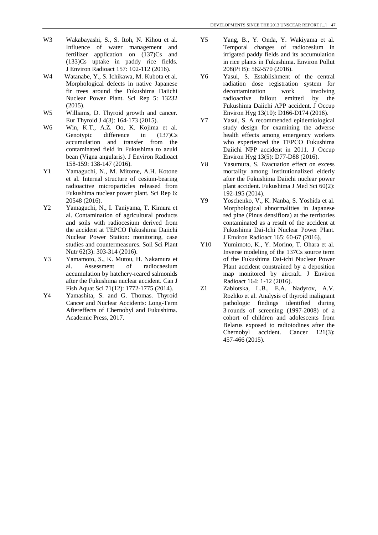- W3 Wakabayashi, S., S. Itoh, N. Kihou et al. Influence of water management and fertilizer application on (137)Cs and (133)Cs uptake in paddy rice fields. J Environ Radioact 157: 102-112 (2016).
- W4 Watanabe, Y., S. Ichikawa, M. Kubota et al. Morphological defects in native Japanese fir trees around the Fukushima Daiichi Nuclear Power Plant. Sci Rep 5: 13232 (2015).
- W<sub>5</sub> Williams, D. Thyroid growth and cancer. Eur Thyroid J 4(3): 164-173 (2015).
- W6 Win, K.T., A.Z. Oo, K. Kojima et al. Genotypic difference in  $(137)Cs$ accumulation and transfer from the contaminated field in Fukushima to azuki bean (Vigna angularis). J Environ Radioact 158-159: 138-147 (2016).
- Y1 Yamaguchi, N., M. Mitome, A.H. Kotone et al. Internal structure of cesium-bearing radioactive microparticles released from Fukushima nuclear power plant. Sci Rep 6: 20548 (2016).
- Y2 Yamaguchi, N., I. Taniyama, T. Kimura et al. Contamination of agricultural products and soils with radiocesium derived from the accident at TEPCO Fukushima Daiichi Nuclear Power Station: monitoring, case studies and countermeasures. Soil Sci Plant Nutr 62(3): 303-314 (2016).
- Y3 Yamamoto, S., K. Mutou, H. Nakamura et al. Assessment of radiocaesium accumulation by hatchery-reared salmonids after the Fukushima nuclear accident. Can J Fish Aquat Sci 71(12): 1772-1775 (2014).
- Y4 Yamashita, S. and G. Thomas. Thyroid Cancer and Nuclear Accidents: Long-Term Aftereffects of Chernobyl and Fukushima. Academic Press, 2017.
- Y5 Yang, B., Y. Onda, Y. Wakiyama et al. Temporal changes of radiocesium in irrigated paddy fields and its accumulation in rice plants in Fukushima. Environ Pollut 208(Pt B): 562-570 (2016).
- Y6 Yasui, S. Establishment of the central radiation dose registration system for decontamination work involving radioactive fallout emitted by the Fukushima Daiichi APP accident. J Occup Environ Hyg 13(10): D166-D174 (2016).
- Y7 Yasui, S. A recommended epidemiological study design for examining the adverse health effects among emergency workers who experienced the TEPCO Fukushima Daiichi NPP accident in 2011. J Occup Environ Hyg 13(5): D77-D88 (2016).
- Y8 Yasumura, S. Evacuation effect on excess mortality among institutionalized elderly after the Fukushima Daiichi nuclear power plant accident. Fukushima J Med Sci 60(2): 192-195 (2014).
- Y9 Yoschenko, V., K. Nanba, S. Yoshida et al. Morphological abnormalities in Japanese red pine (Pinus densiflora) at the territories contaminated as a result of the accident at Fukushima Dai-Ichi Nuclear Power Plant. J Environ Radioact 165: 60-67 (2016).
- Y10 Yumimoto, K., Y. Morino, T. Ohara et al. Inverse modeling of the 137Cs source term of the Fukushima Dai-ichi Nuclear Power Plant accident constrained by a deposition map monitored by aircraft. J Environ Radioact 164: 1-12 (2016).
- Z1 Zablotska, L.B., E.A. Nadyrov, A.V. Rozhko et al. Analysis of thyroid malignant pathologic findings identified during 3 rounds of screening (1997-2008) of a cohort of children and adolescents from Belarus exposed to radioiodines after the Chernobyl accident. Cancer 121(3): 457-466 (2015).